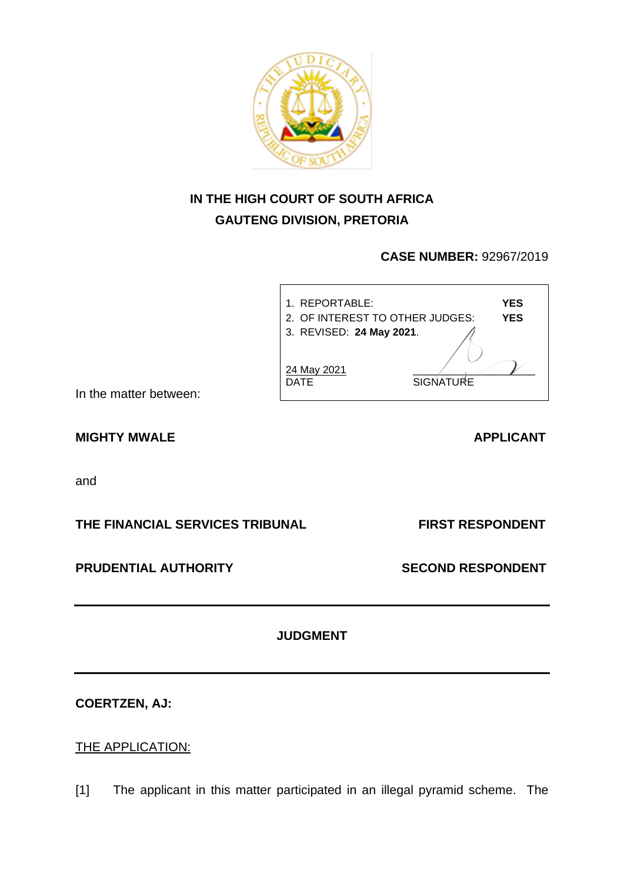

# **IN THE HIGH COURT OF SOUTH AFRICA GAUTENG DIVISION, PRETORIA**

# **CASE NUMBER:** 92967/2019



In the matter between:

# MIGHTY MWALE APPLICANT

and

# **THE FINANCIAL SERVICES TRIBUNAL FIRST RESPONDENT**

# **PRUDENTIAL AUTHORITY SECOND RESPONDENT**

# **JUDGMENT**

**COERTZEN, AJ:**

# THE APPLICATION:

[1] The applicant in this matter participated in an illegal pyramid scheme. The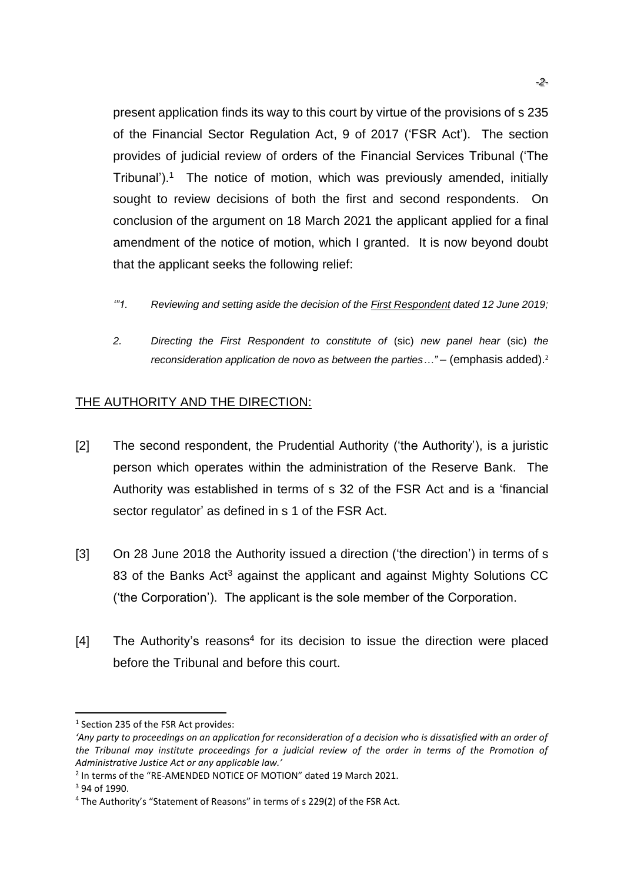present application finds its way to this court by virtue of the provisions of s 235 of the Financial Sector Regulation Act, 9 of 2017 ('FSR Act'). The section provides of judicial review of orders of the Financial Services Tribunal ('The Tribunal').<sup>1</sup> The notice of motion, which was previously amended, initially sought to review decisions of both the first and second respondents. On conclusion of the argument on 18 March 2021 the applicant applied for a final amendment of the notice of motion, which I granted. It is now beyond doubt that the applicant seeks the following relief:

- *'"1. Reviewing and setting aside the decision of the First Respondent dated 12 June 2019;*
- *2. Directing the First Respondent to constitute of* (sic) *new panel hear* (sic) *the reconsideration application de novo as between the parties..."* – (emphasis added).<sup>2</sup>

### THE AUTHORITY AND THE DIRECTION:

- [2] The second respondent, the Prudential Authority ('the Authority'), is a juristic person which operates within the administration of the Reserve Bank. The Authority was established in terms of s 32 of the FSR Act and is a 'financial sector regulator' as defined in s 1 of the FSR Act.
- [3] On 28 June 2018 the Authority issued a direction ('the direction') in terms of s 83 of the Banks Act<sup>3</sup> against the applicant and against Mighty Solutions CC ('the Corporation'). The applicant is the sole member of the Corporation.
- $[4]$  The Authority's reasons<sup>4</sup> for its decision to issue the direction were placed before the Tribunal and before this court.

<sup>&</sup>lt;sup>1</sup> Section 235 of the FSR Act provides:

<sup>&#</sup>x27;Any party to proceedings on an application for reconsideration of a decision who is dissatisfied with an order of *the Tribunal may institute proceedings for a judicial review of the order in terms of the Promotion of Administrative Justice Act or any applicable law.'* 

<sup>&</sup>lt;sup>2</sup> In terms of the "RE-AMENDED NOTICE OF MOTION" dated 19 March 2021.

<sup>3</sup> 94 of 1990.

<sup>4</sup> The Authority's "Statement of Reasons" in terms of s 229(2) of the FSR Act.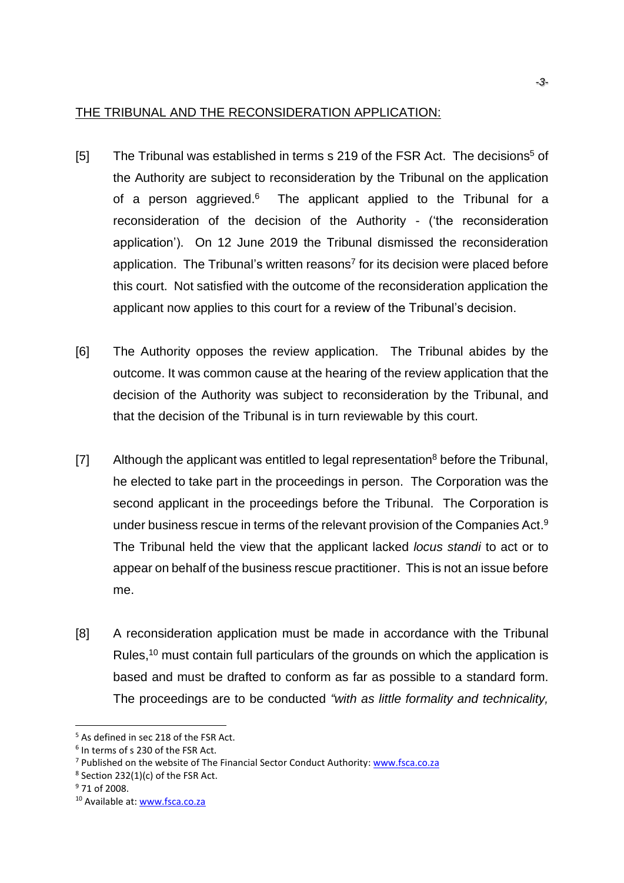### THE TRIBUNAL AND THE RECONSIDERATION APPLICATION:

- [5] The Tribunal was established in terms s 219 of the FSR Act. The decisions<sup>5</sup> of the Authority are subject to reconsideration by the Tribunal on the application of a person aggrieved.<sup>6</sup> The applicant applied to the Tribunal for a reconsideration of the decision of the Authority - ('the reconsideration application'). On 12 June 2019 the Tribunal dismissed the reconsideration application. The Tribunal's written reasons<sup>7</sup> for its decision were placed before this court. Not satisfied with the outcome of the reconsideration application the applicant now applies to this court for a review of the Tribunal's decision.
- [6] The Authority opposes the review application. The Tribunal abides by the outcome. It was common cause at the hearing of the review application that the decision of the Authority was subject to reconsideration by the Tribunal, and that the decision of the Tribunal is in turn reviewable by this court.
- [7] Although the applicant was entitled to legal representation<sup>8</sup> before the Tribunal, he elected to take part in the proceedings in person. The Corporation was the second applicant in the proceedings before the Tribunal. The Corporation is under business rescue in terms of the relevant provision of the Companies Act.<sup>9</sup> The Tribunal held the view that the applicant lacked *locus standi* to act or to appear on behalf of the business rescue practitioner. This is not an issue before me.
- [8] A reconsideration application must be made in accordance with the Tribunal Rules,<sup>10</sup> must contain full particulars of the grounds on which the application is based and must be drafted to conform as far as possible to a standard form. The proceedings are to be conducted *"with as little formality and technicality,*

<sup>5</sup> As defined in sec 218 of the FSR Act.

<sup>6</sup> In terms of s 230 of the FSR Act.

<sup>&</sup>lt;sup>7</sup> Published on the website of The Financial Sector Conduct Authority: [www.fsca.co.za](http://www.fsca.co.za/)

 $8$  Section 232(1)(c) of the FSR Act.

<sup>&</sup>lt;sup>9</sup> 71 of 2008.

<sup>10</sup> Available at: [www.fsca.co.za](http://www.fsca.co.za/)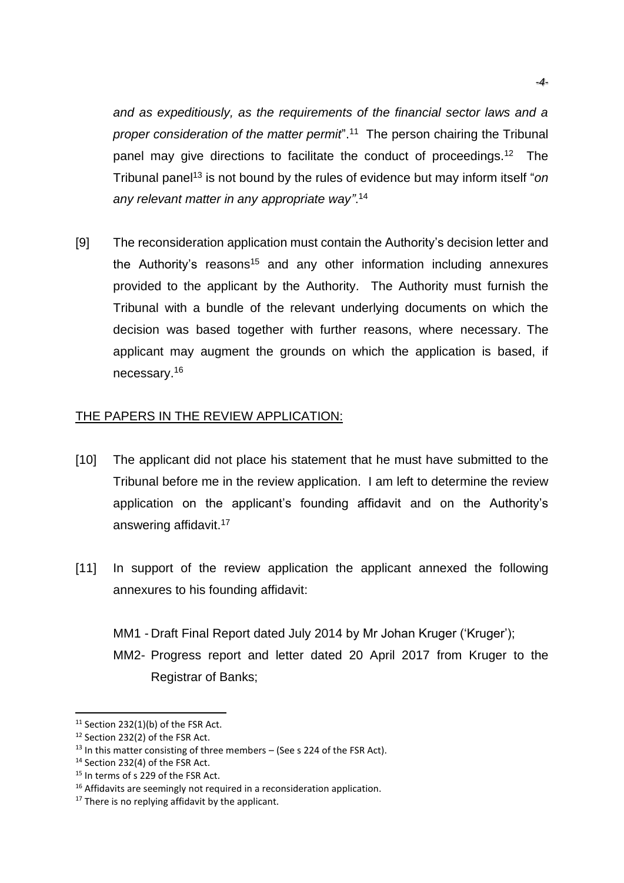*and as expeditiously, as the requirements of the financial sector laws and a*  proper consideration of the matter permit<sup>".11</sup> The person chairing the Tribunal panel may give directions to facilitate the conduct of proceedings.<sup>12</sup> The Tribunal panel<sup>13</sup> is not bound by the rules of evidence but may inform itself "*on any relevant matter in any appropriate way"*. 14

[9] The reconsideration application must contain the Authority's decision letter and the Authority's reasons<sup>15</sup> and any other information including annexures provided to the applicant by the Authority. The Authority must furnish the Tribunal with a bundle of the relevant underlying documents on which the decision was based together with further reasons, where necessary. The applicant may augment the grounds on which the application is based, if necessary.<sup>16</sup>

# THE PAPERS IN THE REVIEW APPLICATION:

- [10] The applicant did not place his statement that he must have submitted to the Tribunal before me in the review application. I am left to determine the review application on the applicant's founding affidavit and on the Authority's answering affidavit.<sup>17</sup>
- [11] In support of the review application the applicant annexed the following annexures to his founding affidavit:

MM1 - Draft Final Report dated July 2014 by Mr Johan Kruger ('Kruger'); MM2- Progress report and letter dated 20 April 2017 from Kruger to the Registrar of Banks;

 $11$  Section 232(1)(b) of the FSR Act.

<sup>12</sup> Section 232(2) of the FSR Act.

 $13$  In this matter consisting of three members – (See s 224 of the FSR Act).

<sup>&</sup>lt;sup>14</sup> Section 232(4) of the FSR Act.

<sup>&</sup>lt;sup>15</sup> In terms of s 229 of the FSR Act.

<sup>&</sup>lt;sup>16</sup> Affidavits are seemingly not required in a reconsideration application.

 $17$  There is no replying affidavit by the applicant.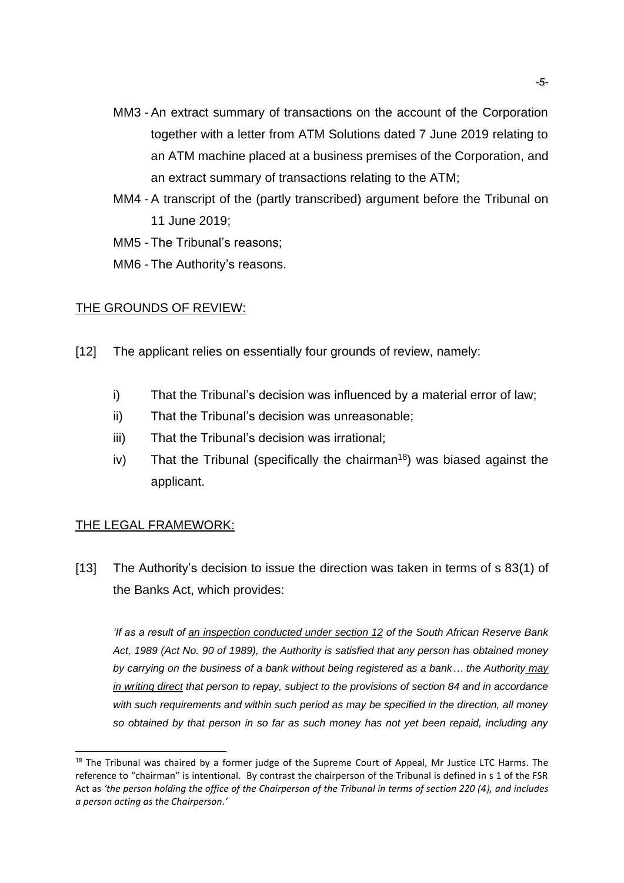- MM3 An extract summary of transactions on the account of the Corporation together with a letter from ATM Solutions dated 7 June 2019 relating to an ATM machine placed at a business premises of the Corporation, and an extract summary of transactions relating to the ATM;
- MM4 A transcript of the (partly transcribed) argument before the Tribunal on 11 June 2019;
- MM5 The Tribunal's reasons;
- MM6 The Authority's reasons.

### THE GROUNDS OF REVIEW:

- [12] The applicant relies on essentially four grounds of review, namely:
	- i) That the Tribunal's decision was influenced by a material error of law;
	- ii) That the Tribunal's decision was unreasonable;
	- iii) That the Tribunal's decision was irrational;
	- iv) That the Tribunal (specifically the chairman<sup>18</sup>) was biased against the applicant.

# THE LEGAL FRAMEWORK:

[13] The Authority's decision to issue the direction was taken in terms of s 83(1) of the Banks Act, which provides:

*'If as a result of an inspection conducted under section 12 of the South African Reserve Bank Act, 1989 (Act No. 90 of 1989), the Authority is satisfied that any person has obtained money by carrying on the business of a bank without being registered as a bank... the Authority may in writing direct that person to repay, subject to the provisions of section 84 and in accordance with such requirements and within such period as may be specified in the direction, all money so obtained by that person in so far as such money has not yet been repaid, including any*

<sup>&</sup>lt;sup>18</sup> The Tribunal was chaired by a former judge of the Supreme Court of Appeal, Mr Justice LTC Harms. The reference to "chairman" is intentional. By contrast the chairperson of the Tribunal is defined in s 1 of the FSR Act as *'the person holding the office of the Chairperson of the Tribunal in terms of section 220 (4), and includes a person acting as the Chairperson.'*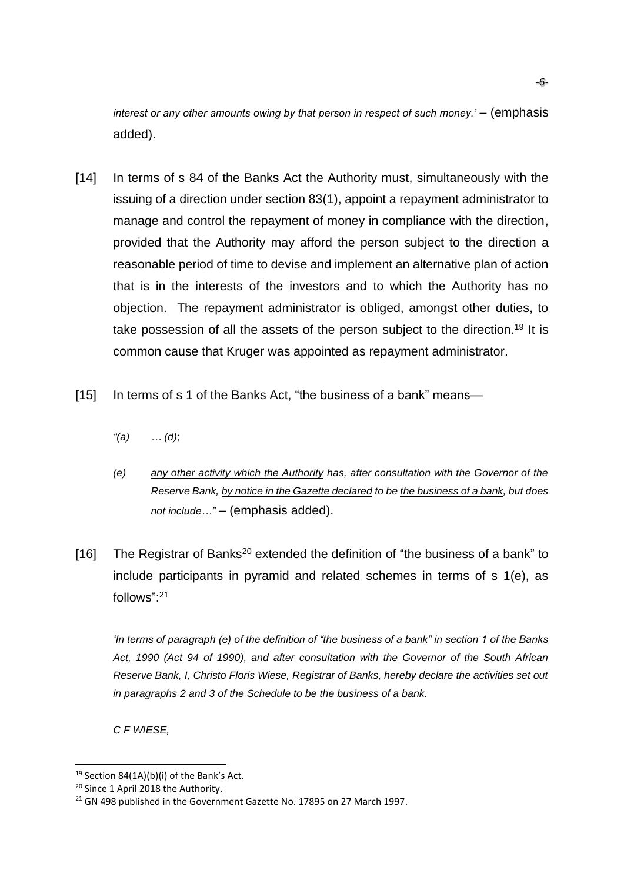*interest or any other amounts owing by that person in respect of such money.'* – (emphasis added).

- [14] In terms of s 84 of the Banks Act the Authority must, simultaneously with the issuing of a direction under section 83(1), appoint a repayment administrator to manage and control the repayment of money in compliance with the direction, provided that the Authority may afford the person subject to the direction a reasonable period of time to devise and implement an alternative plan of action that is in the interests of the investors and to which the Authority has no objection. The repayment administrator is obliged, amongst other duties, to take possession of all the assets of the person subject to the direction.<sup>19</sup> It is common cause that Kruger was appointed as repayment administrator.
- [15] In terms of s 1 of the Banks Act, "the business of a bank" means-
	- *"(a) … (d)*;
	- *(e) any other activity which the Authority has, after consultation with the Governor of the Reserve Bank, by notice in the Gazette declared to be the business of a bank, but does not include…"* – (emphasis added).
- [16] The Registrar of Banks<sup>20</sup> extended the definition of "the business of a bank" to include participants in pyramid and related schemes in terms of s 1(e), as follows": 21

*'In terms of paragraph (e) of the definition of "the business of a bank" in section 1 of the Banks Act, 1990 (Act 94 of 1990), and after consultation with the Governor of the South African Reserve Bank, I, Christo Floris Wiese, Registrar of Banks, hereby declare the activities set out in paragraphs 2 and 3 of the Schedule to be the business of a bank.*

*C F WIESE,*

<sup>&</sup>lt;sup>19</sup> Section 84(1A)(b)(i) of the Bank's Act.

<sup>20</sup> Since 1 April 2018 the Authority.

<sup>&</sup>lt;sup>21</sup> GN 498 published in the Government Gazette No. 17895 on 27 March 1997.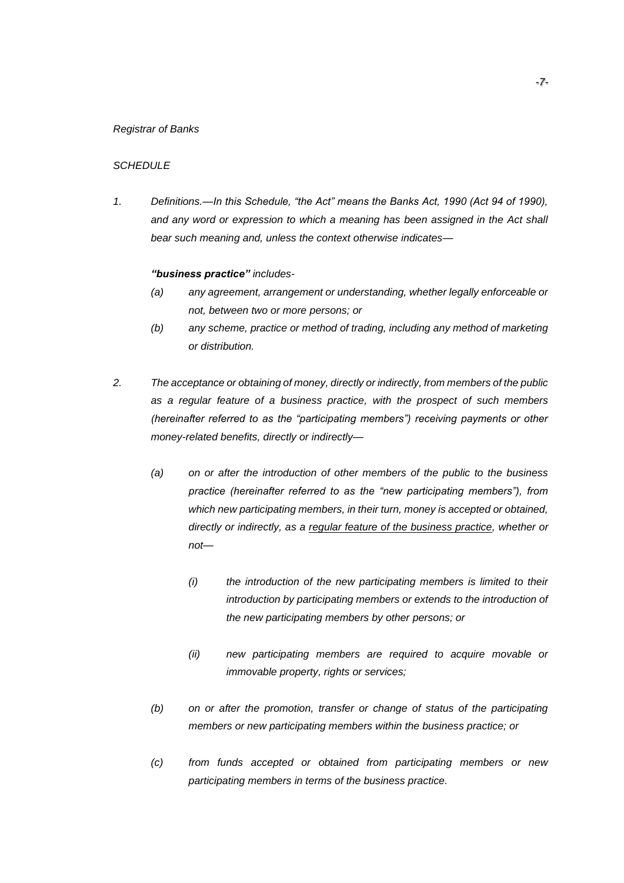#### *Registrar of Banks*

#### *SCHEDULE*

*1. Definitions.—In this Schedule, "the Act" means the Banks Act, 1990 (Act 94 of 1990),*  and any word or expression to which a meaning has been assigned in the Act shall *bear such meaning and, unless the context otherwise indicates—*

#### *"business practice" includes-*

- *(a) any agreement, arrangement or understanding, whether legally enforceable or not, between two or more persons; or*
- *(b) any scheme, practice or method of trading, including any method of marketing or distribution.*
- *2. The acceptance or obtaining of money, directly or indirectly, from members of the public as a regular feature of a business practice, with the prospect of such members (hereinafter referred to as the "participating members") receiving payments or other money-related benefits, directly or indirectly—*
	- *(a) on or after the introduction of other members of the public to the business practice (hereinafter referred to as the "new participating members"), from which new participating members, in their turn, money is accepted or obtained, directly or indirectly, as a regular feature of the business practice, whether or not—*
		- *(i) the introduction of the new participating members is limited to their introduction by participating members or extends to the introduction of the new participating members by other persons; or*
		- *(ii) new participating members are required to acquire movable or immovable property, rights or services;*
	- *(b) on or after the promotion, transfer or change of status of the participating members or new participating members within the business practice; or*
	- *(c) from funds accepted or obtained from participating members or new participating members in terms of the business practice.*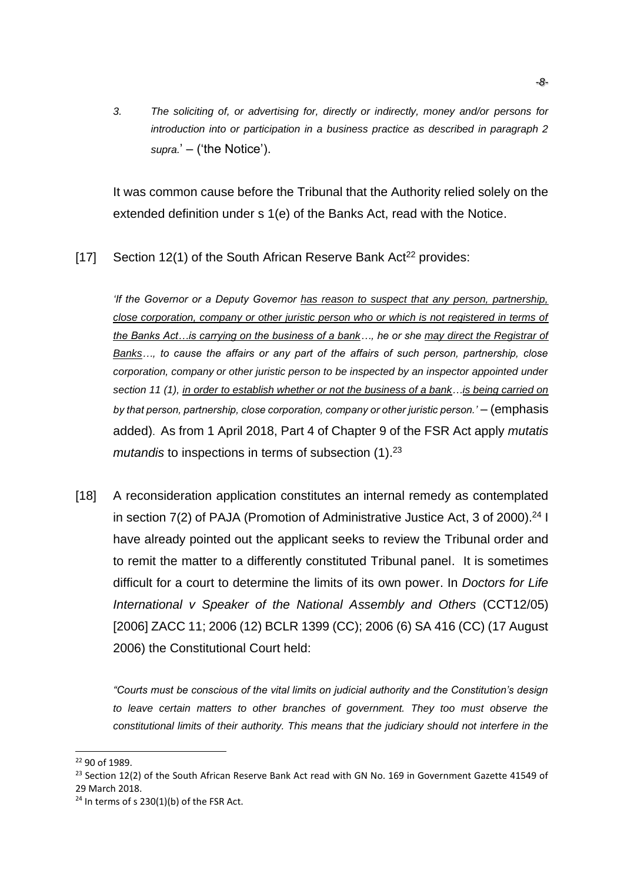*3. The soliciting of, or advertising for, directly or indirectly, money and/or persons for introduction into or participation in a business practice as described in paragraph 2 supra.*' – ('the Notice').

It was common cause before the Tribunal that the Authority relied solely on the extended definition under s 1(e) of the Banks Act, read with the Notice.

[17] Section 12(1) of the South African Reserve Bank Act<sup>22</sup> provides:

*'If the Governor or a Deputy Governor has reason to suspect that any person, partnership, close corporation, company or other juristic person who or which is not registered in terms of the Banks Act…is carrying on the business of a bank…, he or she may direct the Registrar of Banks…, to cause the affairs or any part of the affairs of such person, partnership, close corporation, company or other juristic person to be inspected by an inspector appointed under section 11 (1), in order to establish whether or not the business of a bank…is being carried on by that person, partnership, close corporation, company or other juristic person.'* – (emphasis added). As from 1 April 2018, Part 4 of Chapter 9 of the FSR Act apply *mutatis mutandis* to inspections in terms of subsection (1). 23

[18] A reconsideration application constitutes an internal remedy as contemplated in section 7(2) of PAJA (Promotion of Administrative Justice Act, 3 of 2000). <sup>24</sup> I have already pointed out the applicant seeks to review the Tribunal order and to remit the matter to a differently constituted Tribunal panel. It is sometimes difficult for a court to determine the limits of its own power. In *Doctors for Life International v Speaker of the National Assembly and Others* (CCT12/05) [2006] ZACC 11; 2006 (12) BCLR 1399 (CC); 2006 (6) SA 416 (CC) (17 August 2006) the Constitutional Court held:

*"Courts must be conscious of the vital limits on judicial authority and the Constitution's design*  to leave certain matters to other branches of government. They too must observe the *constitutional limits of their authority. This means that the judiciary should not interfere in the* 

<sup>22</sup> 90 of 1989.

<sup>&</sup>lt;sup>23</sup> Section 12(2) of the South African Reserve Bank Act read with GN No. 169 in Government Gazette 41549 of 29 March 2018.

 $24$  In terms of s 230(1)(b) of the FSR Act.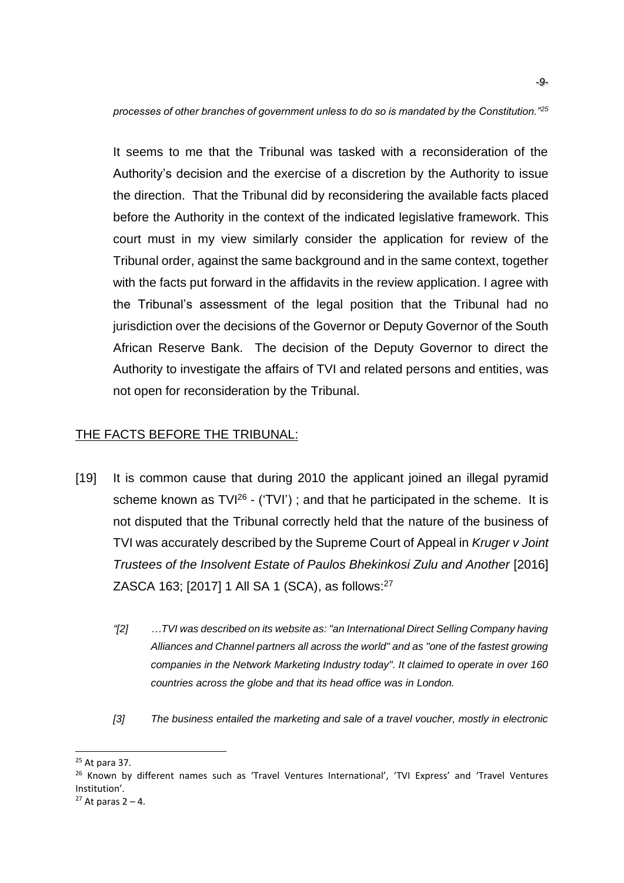*processes of other branches of government unless to do so is mandated by the Constitution."<sup>25</sup>*

It seems to me that the Tribunal was tasked with a reconsideration of the Authority's decision and the exercise of a discretion by the Authority to issue the direction. That the Tribunal did by reconsidering the available facts placed before the Authority in the context of the indicated legislative framework. This court must in my view similarly consider the application for review of the Tribunal order, against the same background and in the same context, together with the facts put forward in the affidavits in the review application. I agree with the Tribunal's assessment of the legal position that the Tribunal had no jurisdiction over the decisions of the Governor or Deputy Governor of the South African Reserve Bank. The decision of the Deputy Governor to direct the Authority to investigate the affairs of TVI and related persons and entities, was not open for reconsideration by the Tribunal.

# THE FACTS BEFORE THE TRIBUNAL:

- [19] It is common cause that during 2010 the applicant joined an illegal pyramid scheme known as  $TV^{26}$  - ('TVI'); and that he participated in the scheme. It is not disputed that the Tribunal correctly held that the nature of the business of TVI was accurately described by the Supreme Court of Appeal in *Kruger v Joint Trustees of the Insolvent Estate of Paulos Bhekinkosi Zulu and Another* [2016] ZASCA 163; [2017] 1 All SA 1 (SCA), as follows:<sup>27</sup>
	- *"[2] …TVI was described on its website as: "an International Direct Selling Company having Alliances and Channel partners all across the world" and as "one of the fastest growing companies in the Network Marketing Industry today". It claimed to operate in over 160 countries across the globe and that its head office was in London.*
	- *[3] The business entailed the marketing and sale of a travel voucher, mostly in electronic*

 $25$  At para 37.

<sup>&</sup>lt;sup>26</sup> Known by different names such as 'Travel Ventures International', 'TVI Express' and 'Travel Ventures Institution'*.*

 $27$  At paras  $2 - 4$ .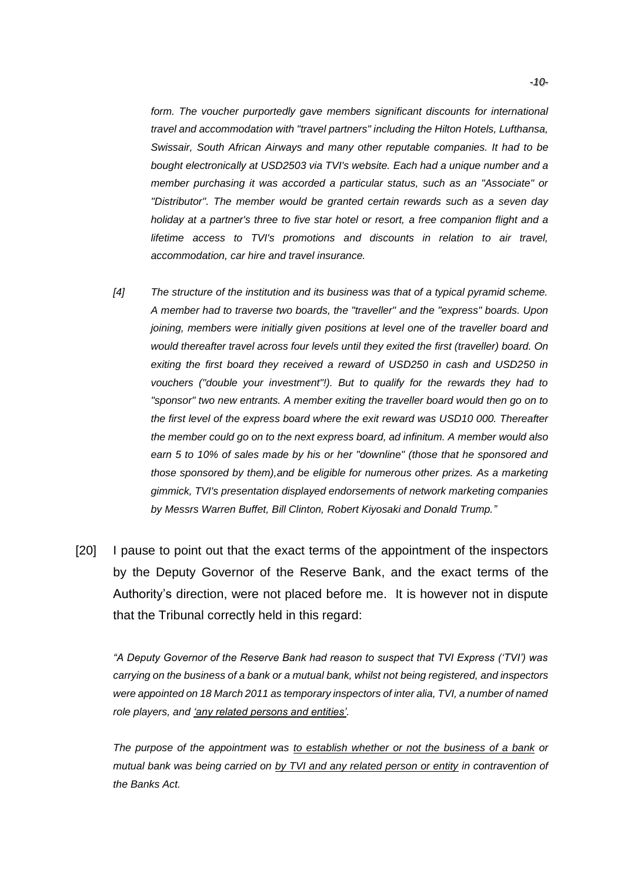*form. The voucher purportedly gave members significant discounts for international travel and accommodation with "travel partners" including the Hilton Hotels, Lufthansa, Swissair, South African Airways and many other reputable companies. It had to be bought electronically at USD2503 via TVI's website. Each had a unique number and a member purchasing it was accorded a particular status, such as an "Associate" or "Distributor". The member would be granted certain rewards such as a seven day holiday at a partner's three to five star hotel or resort, a free companion flight and a lifetime access to TVI's promotions and discounts in relation to air travel, accommodation, car hire and travel insurance.*

- *[4] The structure of the institution and its business was that of a typical pyramid scheme. A member had to traverse two boards, the "traveller" and the "express" boards. Upon joining, members were initially given positions at level one of the traveller board and would thereafter travel across four levels until they exited the first (traveller) board. On exiting the first board they received a reward of USD250 in cash and USD250 in vouchers ("double your investment"!). But to qualify for the rewards they had to "sponsor" two new entrants. A member exiting the traveller board would then go on to the first level of the express board where the exit reward was USD10 000. Thereafter the member could go on to the next express board, ad infinitum. A member would also earn 5 to 10% of sales made by his or her "downline" (those that he sponsored and those sponsored by them),and be eligible for numerous other prizes. As a marketing gimmick, TVI's presentation displayed endorsements of network marketing companies by Messrs Warren Buffet, Bill Clinton, Robert Kiyosaki and Donald Trump."*
- [20] I pause to point out that the exact terms of the appointment of the inspectors by the Deputy Governor of the Reserve Bank, and the exact terms of the Authority's direction, were not placed before me. It is however not in dispute that the Tribunal correctly held in this regard:

*"A Deputy Governor of the Reserve Bank had reason to suspect that TVI Express ('TVI') was carrying on the business of a bank or a mutual bank, whilst not being registered, and inspectors were appointed on 18 March 2011 as temporary inspectors of inter alia, TVI, a number of named role players, and 'any related persons and entities'.*

*The purpose of the appointment was to establish whether or not the business of a bank or mutual bank was being carried on by TVI and any related person or entity in contravention of the Banks Act.*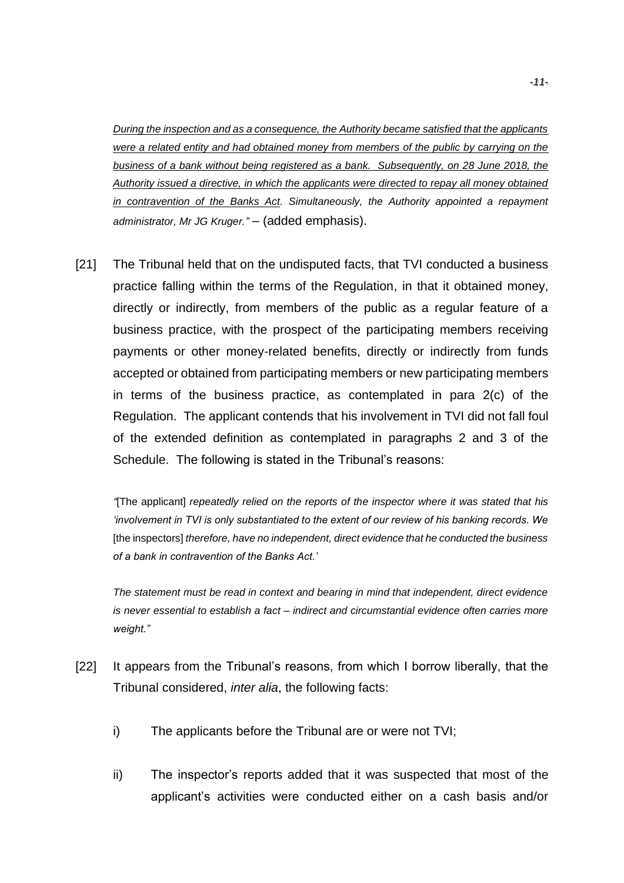*During the inspection and as a consequence, the Authority became satisfied that the applicants were a related entity and had obtained money from members of the public by carrying on the business of a bank without being registered as a bank. Subsequently, on 28 June 2018, the Authority issued a directive, in which the applicants were directed to repay all money obtained in contravention of the Banks Act. Simultaneously, the Authority appointed a repayment administrator, Mr JG Kruger."* – (added emphasis).

[21] The Tribunal held that on the undisputed facts, that TVI conducted a business practice falling within the terms of the Regulation, in that it obtained money, directly or indirectly, from members of the public as a regular feature of a business practice, with the prospect of the participating members receiving payments or other money-related benefits, directly or indirectly from funds accepted or obtained from participating members or new participating members in terms of the business practice, as contemplated in para 2(c) of the Regulation. The applicant contends that his involvement in TVI did not fall foul of the extended definition as contemplated in paragraphs 2 and 3 of the Schedule. The following is stated in the Tribunal's reasons:

*"*[The applicant] *repeatedly relied on the reports of the inspector where it was stated that his 'involvement in TVI is only substantiated to the extent of our review of his banking records. We* [the inspectors] *therefore, have no independent, direct evidence that he conducted the business of a bank in contravention of the Banks Act.'*

*The statement must be read in context and bearing in mind that independent, direct evidence is never essential to establish a fact – indirect and circumstantial evidence often carries more weight."*

- [22] It appears from the Tribunal's reasons, from which I borrow liberally, that the Tribunal considered, *inter alia*, the following facts:
	- i) The applicants before the Tribunal are or were not TVI;
	- ii) The inspector's reports added that it was suspected that most of the applicant's activities were conducted either on a cash basis and/or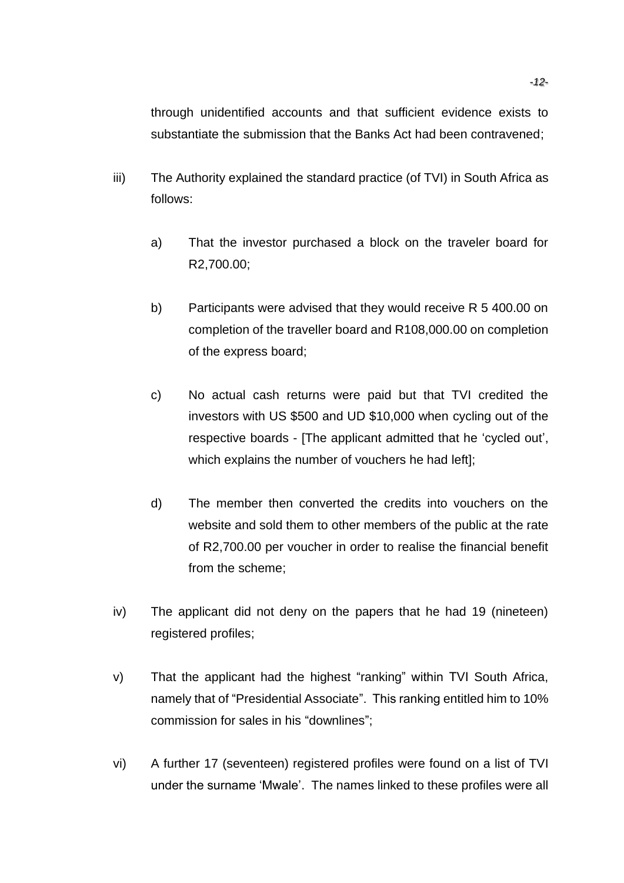through unidentified accounts and that sufficient evidence exists to substantiate the submission that the Banks Act had been contravened;

- iii) The Authority explained the standard practice (of TVI) in South Africa as follows:
	- a) That the investor purchased a block on the traveler board for R2,700.00;
	- b) Participants were advised that they would receive R 5 400.00 on completion of the traveller board and R108,000.00 on completion of the express board;
	- c) No actual cash returns were paid but that TVI credited the investors with US \$500 and UD \$10,000 when cycling out of the respective boards - [The applicant admitted that he 'cycled out', which explains the number of vouchers he had left];
	- d) The member then converted the credits into vouchers on the website and sold them to other members of the public at the rate of R2,700.00 per voucher in order to realise the financial benefit from the scheme;
- iv) The applicant did not deny on the papers that he had 19 (nineteen) registered profiles;
- v) That the applicant had the highest "ranking" within TVI South Africa, namely that of "Presidential Associate". This ranking entitled him to 10% commission for sales in his "downlines";
- vi) A further 17 (seventeen) registered profiles were found on a list of TVI under the surname 'Mwale'. The names linked to these profiles were all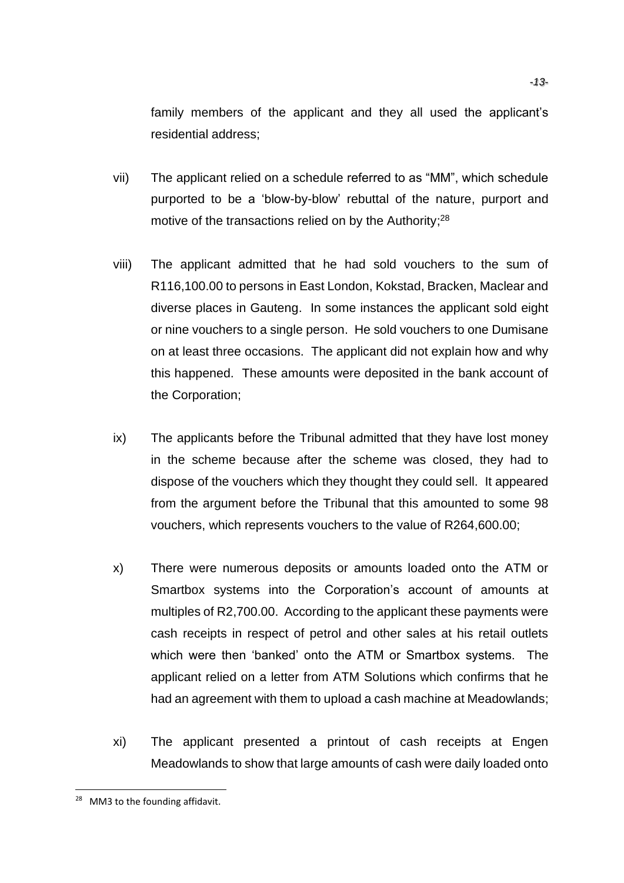family members of the applicant and they all used the applicant's residential address;

- vii) The applicant relied on a schedule referred to as "MM", which schedule purported to be a 'blow-by-blow' rebuttal of the nature, purport and motive of the transactions relied on by the Authority;<sup>28</sup>
- viii) The applicant admitted that he had sold vouchers to the sum of R116,100.00 to persons in East London, Kokstad, Bracken, Maclear and diverse places in Gauteng. In some instances the applicant sold eight or nine vouchers to a single person. He sold vouchers to one Dumisane on at least three occasions. The applicant did not explain how and why this happened. These amounts were deposited in the bank account of the Corporation;
- ix) The applicants before the Tribunal admitted that they have lost money in the scheme because after the scheme was closed, they had to dispose of the vouchers which they thought they could sell. It appeared from the argument before the Tribunal that this amounted to some 98 vouchers, which represents vouchers to the value of R264,600.00;
- x) There were numerous deposits or amounts loaded onto the ATM or Smartbox systems into the Corporation's account of amounts at multiples of R2,700.00. According to the applicant these payments were cash receipts in respect of petrol and other sales at his retail outlets which were then 'banked' onto the ATM or Smartbox systems. The applicant relied on a letter from ATM Solutions which confirms that he had an agreement with them to upload a cash machine at Meadowlands;
- xi) The applicant presented a printout of cash receipts at Engen Meadowlands to show that large amounts of cash were daily loaded onto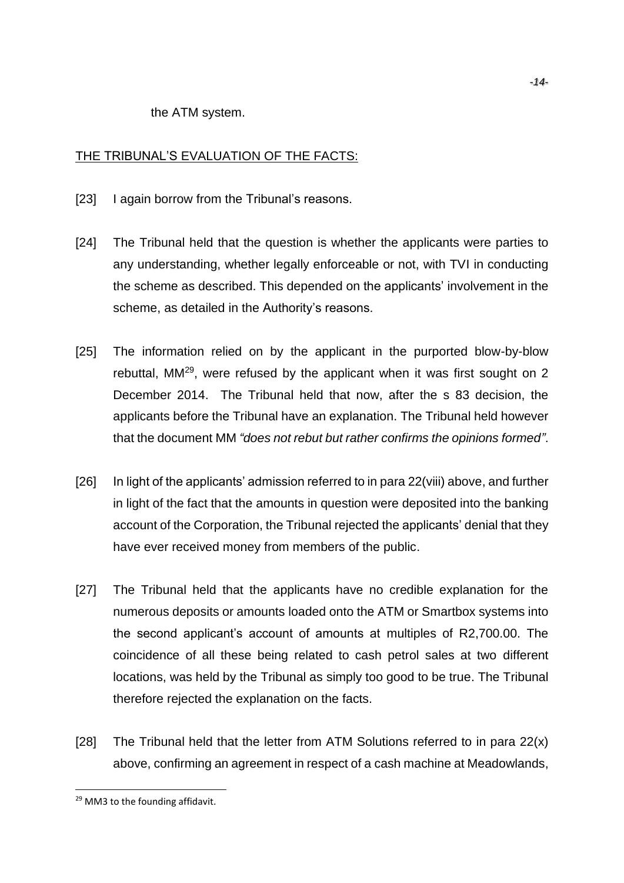the ATM system.

### THE TRIBUNAL'S EVALUATION OF THE FACTS:

- [23] I again borrow from the Tribunal's reasons.
- [24] The Tribunal held that the question is whether the applicants were parties to any understanding, whether legally enforceable or not, with TVI in conducting the scheme as described. This depended on the applicants' involvement in the scheme, as detailed in the Authority's reasons.
- [25] The information relied on by the applicant in the purported blow-by-blow rebuttal, MM<sup>29</sup>, were refused by the applicant when it was first sought on 2 December 2014. The Tribunal held that now, after the s 83 decision, the applicants before the Tribunal have an explanation. The Tribunal held however that the document MM *"does not rebut but rather confirms the opinions formed"*.
- [26] In light of the applicants' admission referred to in para 22(viii) above, and further in light of the fact that the amounts in question were deposited into the banking account of the Corporation, the Tribunal rejected the applicants' denial that they have ever received money from members of the public.
- [27] The Tribunal held that the applicants have no credible explanation for the numerous deposits or amounts loaded onto the ATM or Smartbox systems into the second applicant's account of amounts at multiples of R2,700.00. The coincidence of all these being related to cash petrol sales at two different locations, was held by the Tribunal as simply too good to be true. The Tribunal therefore rejected the explanation on the facts.
- [28] The Tribunal held that the letter from ATM Solutions referred to in para  $22(x)$ above, confirming an agreement in respect of a cash machine at Meadowlands,

<sup>29</sup> MM3 to the founding affidavit.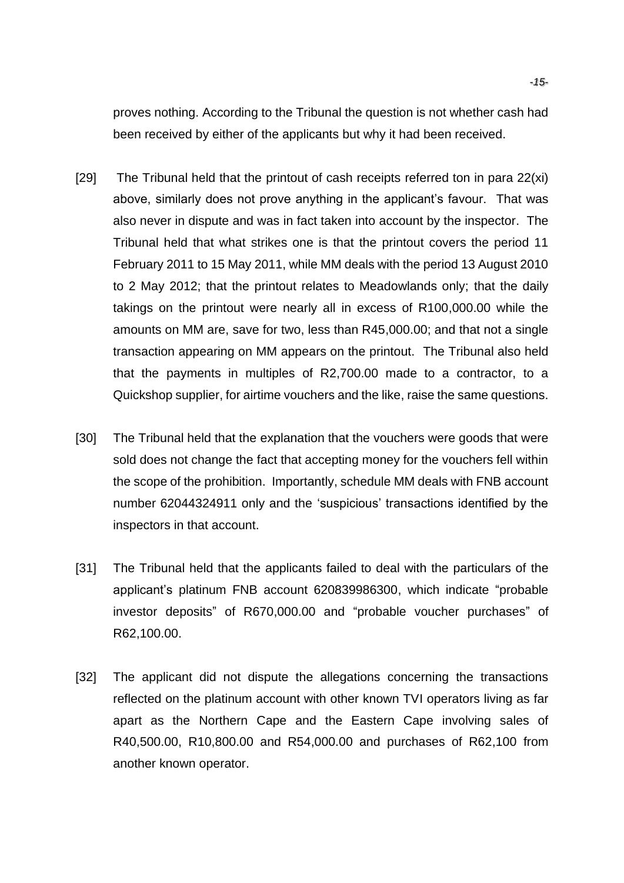proves nothing. According to the Tribunal the question is not whether cash had been received by either of the applicants but why it had been received.

- [29] The Tribunal held that the printout of cash receipts referred ton in para 22(xi) above, similarly does not prove anything in the applicant's favour. That was also never in dispute and was in fact taken into account by the inspector. The Tribunal held that what strikes one is that the printout covers the period 11 February 2011 to 15 May 2011, while MM deals with the period 13 August 2010 to 2 May 2012; that the printout relates to Meadowlands only; that the daily takings on the printout were nearly all in excess of R100,000.00 while the amounts on MM are, save for two, less than R45,000.00; and that not a single transaction appearing on MM appears on the printout. The Tribunal also held that the payments in multiples of R2,700.00 made to a contractor, to a Quickshop supplier, for airtime vouchers and the like, raise the same questions.
- [30] The Tribunal held that the explanation that the vouchers were goods that were sold does not change the fact that accepting money for the vouchers fell within the scope of the prohibition. Importantly, schedule MM deals with FNB account number 62044324911 only and the 'suspicious' transactions identified by the inspectors in that account.
- [31] The Tribunal held that the applicants failed to deal with the particulars of the applicant's platinum FNB account 620839986300, which indicate "probable investor deposits" of R670,000.00 and "probable voucher purchases" of R62,100.00.
- [32] The applicant did not dispute the allegations concerning the transactions reflected on the platinum account with other known TVI operators living as far apart as the Northern Cape and the Eastern Cape involving sales of R40,500.00, R10,800.00 and R54,000.00 and purchases of R62,100 from another known operator.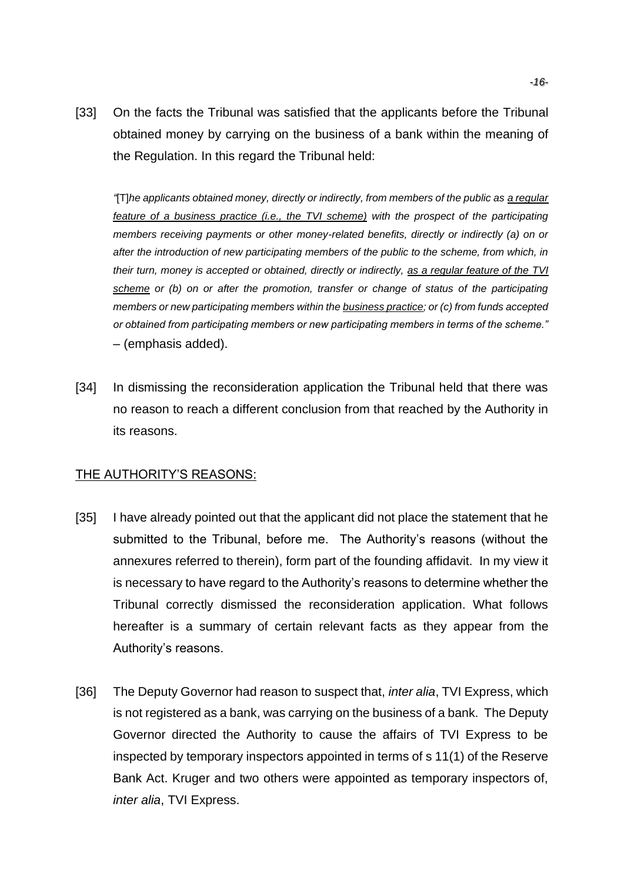[33] On the facts the Tribunal was satisfied that the applicants before the Tribunal obtained money by carrying on the business of a bank within the meaning of the Regulation. In this regard the Tribunal held:

*"*[T]*he applicants obtained money, directly or indirectly, from members of the public as a regular feature of a business practice (i.e., the TVI scheme) with the prospect of the participating members receiving payments or other money-related benefits, directly or indirectly (a) on or after the introduction of new participating members of the public to the scheme, from which, in their turn, money is accepted or obtained, directly or indirectly, as a regular feature of the TVI scheme or (b) on or after the promotion, transfer or change of status of the participating members or new participating members within the business practice; or (c) from funds accepted or obtained from participating members or new participating members in terms of the scheme."* – (emphasis added).

[34] In dismissing the reconsideration application the Tribunal held that there was no reason to reach a different conclusion from that reached by the Authority in its reasons.

### THE AUTHORITY'S REASONS:

- [35] I have already pointed out that the applicant did not place the statement that he submitted to the Tribunal, before me. The Authority's reasons (without the annexures referred to therein), form part of the founding affidavit. In my view it is necessary to have regard to the Authority's reasons to determine whether the Tribunal correctly dismissed the reconsideration application. What follows hereafter is a summary of certain relevant facts as they appear from the Authority's reasons.
- [36] The Deputy Governor had reason to suspect that, *inter alia*, TVI Express, which is not registered as a bank, was carrying on the business of a bank. The Deputy Governor directed the Authority to cause the affairs of TVI Express to be inspected by temporary inspectors appointed in terms of s 11(1) of the Reserve Bank Act. Kruger and two others were appointed as temporary inspectors of, *inter alia*, TVI Express.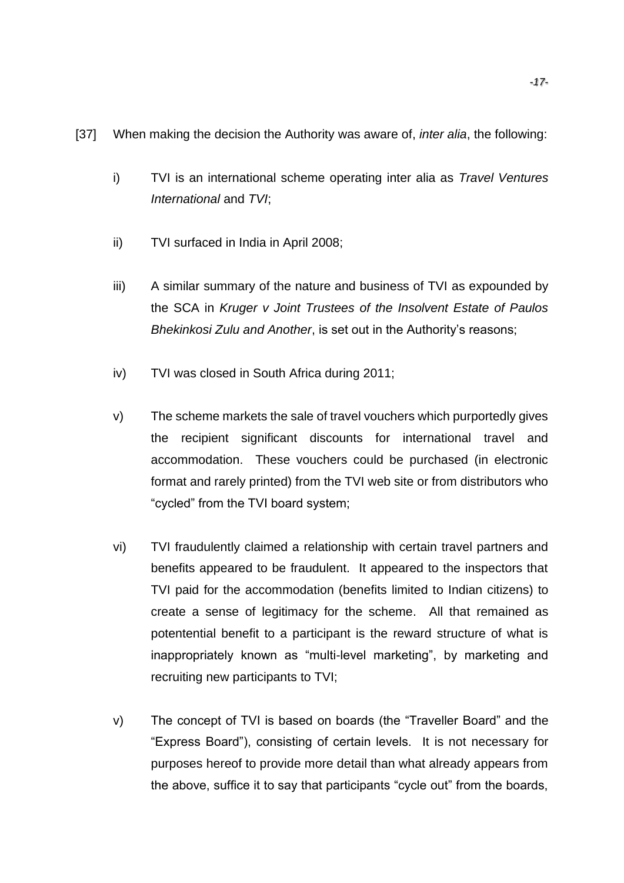- [37] When making the decision the Authority was aware of, *inter alia*, the following:
	- i) TVI is an international scheme operating inter alia as *Travel Ventures International* and *TVI*;
	- ii) TVI surfaced in India in April 2008;
	- iii) A similar summary of the nature and business of TVI as expounded by the SCA in *Kruger v Joint Trustees of the Insolvent Estate of Paulos Bhekinkosi Zulu and Another*, is set out in the Authority's reasons;
	- iv) TVI was closed in South Africa during 2011;
	- v) The scheme markets the sale of travel vouchers which purportedly gives the recipient significant discounts for international travel and accommodation. These vouchers could be purchased (in electronic format and rarely printed) from the TVI web site or from distributors who "cycled" from the TVI board system;
	- vi) TVI fraudulently claimed a relationship with certain travel partners and benefits appeared to be fraudulent. It appeared to the inspectors that TVI paid for the accommodation (benefits limited to Indian citizens) to create a sense of legitimacy for the scheme. All that remained as potentential benefit to a participant is the reward structure of what is inappropriately known as "multi-level marketing", by marketing and recruiting new participants to TVI;
	- v) The concept of TVI is based on boards (the "Traveller Board" and the "Express Board"), consisting of certain levels. It is not necessary for purposes hereof to provide more detail than what already appears from the above, suffice it to say that participants "cycle out" from the boards,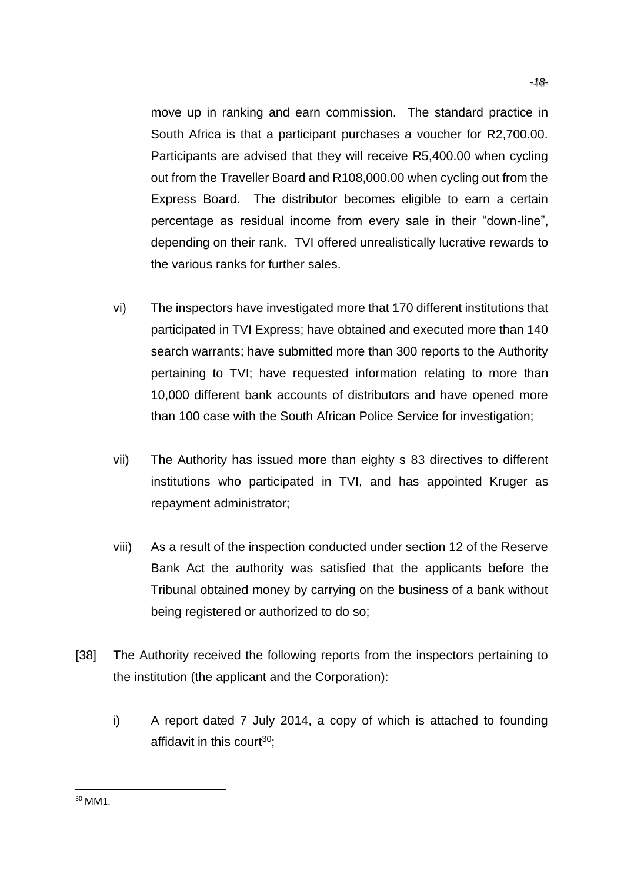move up in ranking and earn commission. The standard practice in South Africa is that a participant purchases a voucher for R2,700.00. Participants are advised that they will receive R5,400.00 when cycling out from the Traveller Board and R108,000.00 when cycling out from the Express Board. The distributor becomes eligible to earn a certain percentage as residual income from every sale in their "down-line", depending on their rank. TVI offered unrealistically lucrative rewards to the various ranks for further sales.

- vi) The inspectors have investigated more that 170 different institutions that participated in TVI Express; have obtained and executed more than 140 search warrants; have submitted more than 300 reports to the Authority pertaining to TVI; have requested information relating to more than 10,000 different bank accounts of distributors and have opened more than 100 case with the South African Police Service for investigation;
- vii) The Authority has issued more than eighty s 83 directives to different institutions who participated in TVI, and has appointed Kruger as repayment administrator;
- viii) As a result of the inspection conducted under section 12 of the Reserve Bank Act the authority was satisfied that the applicants before the Tribunal obtained money by carrying on the business of a bank without being registered or authorized to do so;
- [38] The Authority received the following reports from the inspectors pertaining to the institution (the applicant and the Corporation):
	- i) A report dated 7 July 2014, a copy of which is attached to founding affidavit in this court $30$ :

<sup>30</sup> MM1.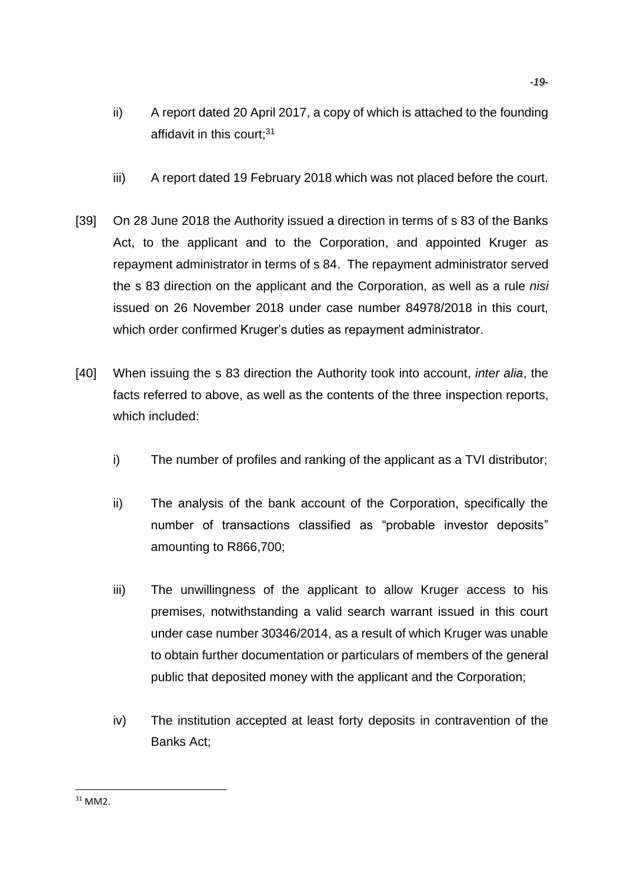- ii) A report dated 20 April 2017, a copy of which is attached to the founding affidavit in this court:<sup>31</sup>
- iii) A report dated 19 February 2018 which was not placed before the court.
- [39] On 28 June 2018 the Authority issued a direction in terms of s 83 of the Banks Act, to the applicant and to the Corporation, and appointed Kruger as repayment administrator in terms of s 84. The repayment administrator served the s 83 direction on the applicant and the Corporation, as well as a rule *nisi* issued on 26 November 2018 under case number 84978/2018 in this court, which order confirmed Kruger's duties as repayment administrator.
- [40] When issuing the s 83 direction the Authority took into account, *inter alia*, the facts referred to above, as well as the contents of the three inspection reports, which included:
	- i) The number of profiles and ranking of the applicant as a TVI distributor;
	- ii) The analysis of the bank account of the Corporation, specifically the number of transactions classified as "probable investor deposits" amounting to R866,700;
	- iii) The unwillingness of the applicant to allow Kruger access to his premises, notwithstanding a valid search warrant issued in this court under case number 30346/2014, as a result of which Kruger was unable to obtain further documentation or particulars of members of the general public that deposited money with the applicant and the Corporation;
	- iv) The institution accepted at least forty deposits in contravention of the Banks Act;

<sup>31</sup> MM2.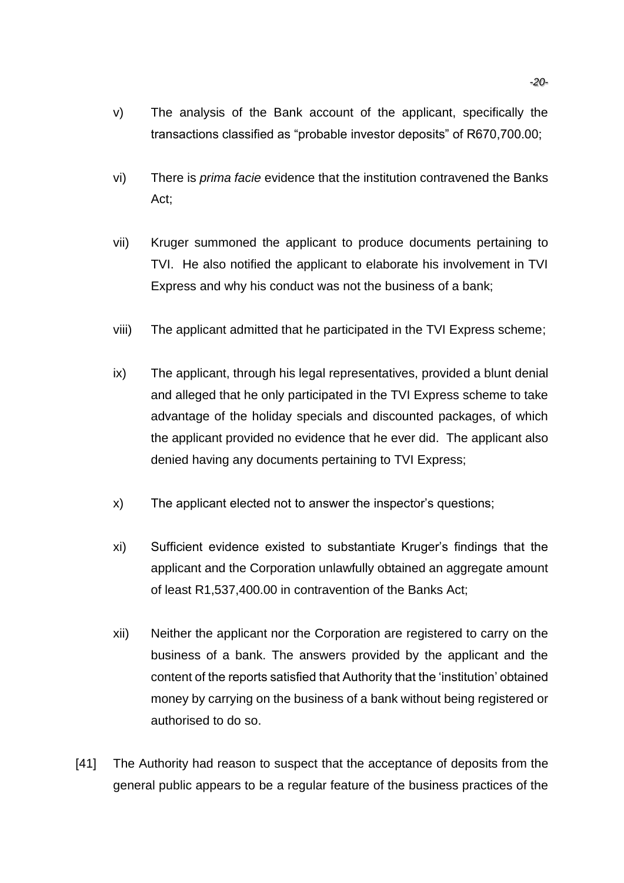- v) The analysis of the Bank account of the applicant, specifically the transactions classified as "probable investor deposits" of R670,700.00;
- vi) There is *prima facie* evidence that the institution contravened the Banks Act;
- vii) Kruger summoned the applicant to produce documents pertaining to TVI. He also notified the applicant to elaborate his involvement in TVI Express and why his conduct was not the business of a bank;
- viii) The applicant admitted that he participated in the TVI Express scheme;
- ix) The applicant, through his legal representatives, provided a blunt denial and alleged that he only participated in the TVI Express scheme to take advantage of the holiday specials and discounted packages, of which the applicant provided no evidence that he ever did. The applicant also denied having any documents pertaining to TVI Express;
- x) The applicant elected not to answer the inspector's questions;
- xi) Sufficient evidence existed to substantiate Kruger's findings that the applicant and the Corporation unlawfully obtained an aggregate amount of least R1,537,400.00 in contravention of the Banks Act;
- xii) Neither the applicant nor the Corporation are registered to carry on the business of a bank. The answers provided by the applicant and the content of the reports satisfied that Authority that the 'institution' obtained money by carrying on the business of a bank without being registered or authorised to do so.
- [41] The Authority had reason to suspect that the acceptance of deposits from the general public appears to be a regular feature of the business practices of the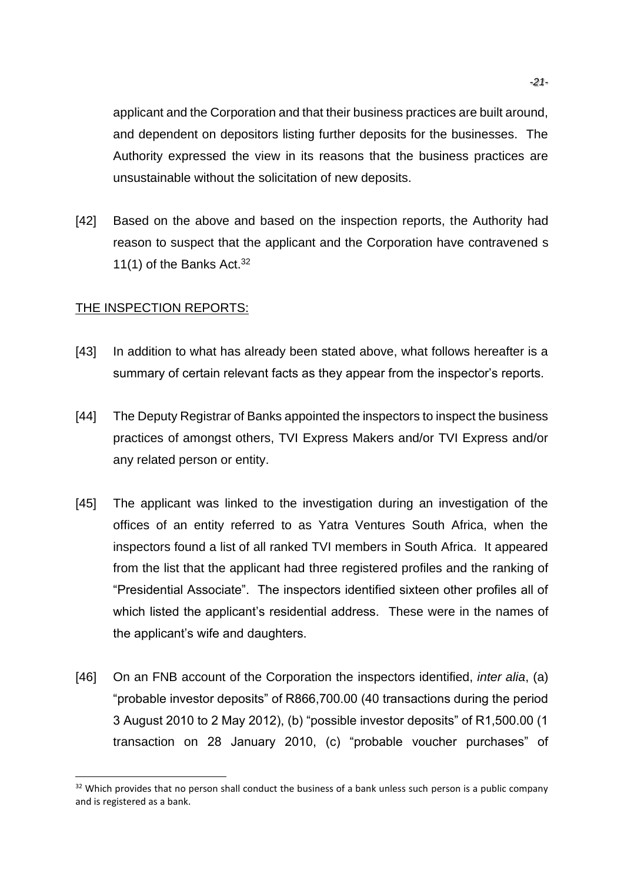applicant and the Corporation and that their business practices are built around, and dependent on depositors listing further deposits for the businesses. The Authority expressed the view in its reasons that the business practices are unsustainable without the solicitation of new deposits.

[42] Based on the above and based on the inspection reports, the Authority had reason to suspect that the applicant and the Corporation have contravened s 11(1) of the Banks Act.  $32$ 

### THE INSPECTION REPORTS:

- [43] In addition to what has already been stated above, what follows hereafter is a summary of certain relevant facts as they appear from the inspector's reports.
- [44] The Deputy Registrar of Banks appointed the inspectors to inspect the business practices of amongst others, TVI Express Makers and/or TVI Express and/or any related person or entity.
- [45] The applicant was linked to the investigation during an investigation of the offices of an entity referred to as Yatra Ventures South Africa, when the inspectors found a list of all ranked TVI members in South Africa. It appeared from the list that the applicant had three registered profiles and the ranking of "Presidential Associate". The inspectors identified sixteen other profiles all of which listed the applicant's residential address. These were in the names of the applicant's wife and daughters.
- [46] On an FNB account of the Corporation the inspectors identified, *inter alia*, (a) "probable investor deposits" of R866,700.00 (40 transactions during the period 3 August 2010 to 2 May 2012), (b) "possible investor deposits" of R1,500.00 (1 transaction on 28 January 2010, (c) "probable voucher purchases" of

<sup>&</sup>lt;sup>32</sup> Which provides that no person shall conduct the business of a bank unless such person is a public company and is registered as a bank.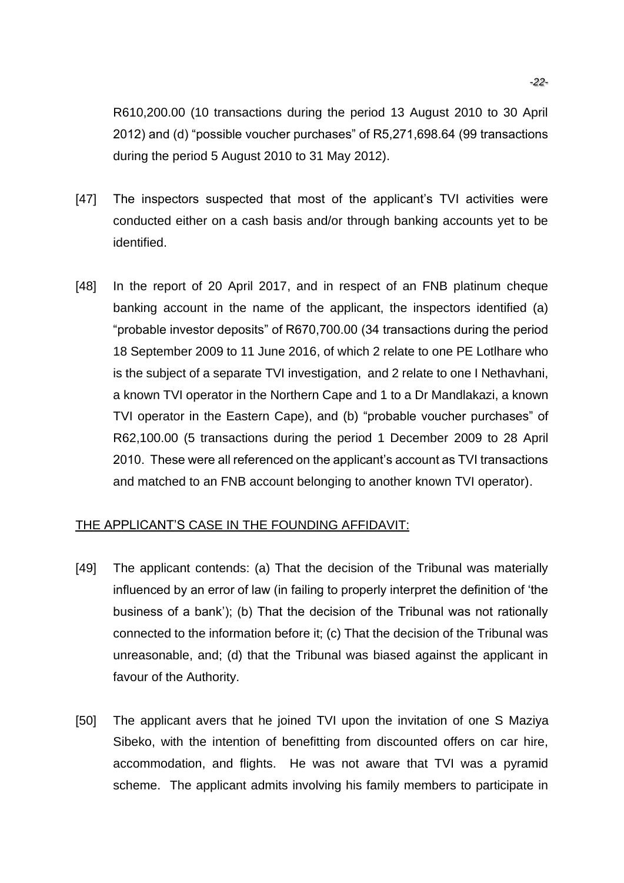R610,200.00 (10 transactions during the period 13 August 2010 to 30 April 2012) and (d) "possible voucher purchases" of R5,271,698.64 (99 transactions during the period 5 August 2010 to 31 May 2012).

- [47] The inspectors suspected that most of the applicant's TVI activities were conducted either on a cash basis and/or through banking accounts yet to be identified.
- [48] In the report of 20 April 2017, and in respect of an FNB platinum cheque banking account in the name of the applicant, the inspectors identified (a) "probable investor deposits" of R670,700.00 (34 transactions during the period 18 September 2009 to 11 June 2016, of which 2 relate to one PE Lotlhare who is the subject of a separate TVI investigation, and 2 relate to one I Nethavhani, a known TVI operator in the Northern Cape and 1 to a Dr Mandlakazi, a known TVI operator in the Eastern Cape), and (b) "probable voucher purchases" of R62,100.00 (5 transactions during the period 1 December 2009 to 28 April 2010. These were all referenced on the applicant's account as TVI transactions and matched to an FNB account belonging to another known TVI operator).

### THE APPLICANT'S CASE IN THE FOUNDING AFFIDAVIT:

- [49] The applicant contends: (a) That the decision of the Tribunal was materially influenced by an error of law (in failing to properly interpret the definition of 'the business of a bank'); (b) That the decision of the Tribunal was not rationally connected to the information before it; (c) That the decision of the Tribunal was unreasonable, and; (d) that the Tribunal was biased against the applicant in favour of the Authority.
- [50] The applicant avers that he joined TVI upon the invitation of one S Maziya Sibeko, with the intention of benefitting from discounted offers on car hire, accommodation, and flights. He was not aware that TVI was a pyramid scheme. The applicant admits involving his family members to participate in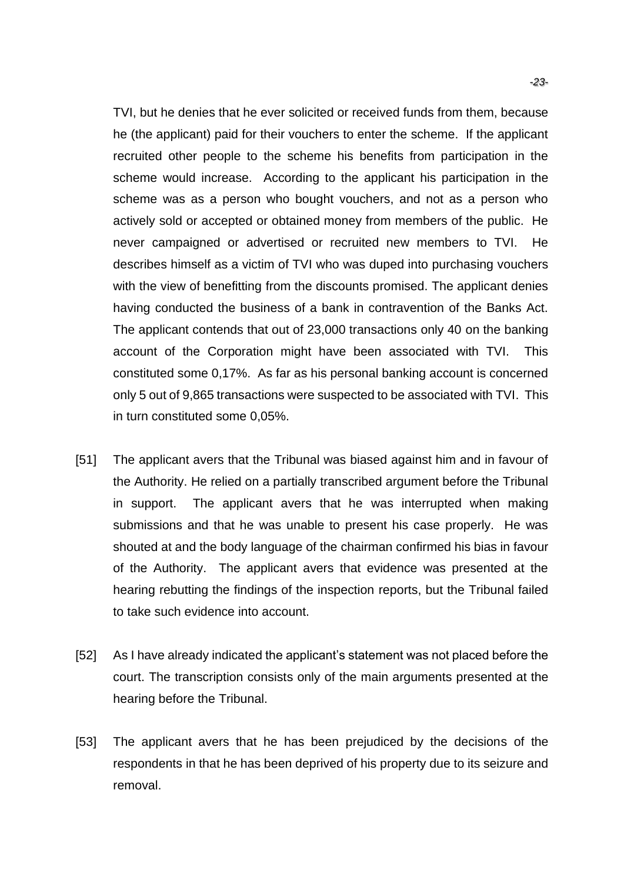TVI, but he denies that he ever solicited or received funds from them, because he (the applicant) paid for their vouchers to enter the scheme. If the applicant recruited other people to the scheme his benefits from participation in the scheme would increase. According to the applicant his participation in the scheme was as a person who bought vouchers, and not as a person who actively sold or accepted or obtained money from members of the public. He never campaigned or advertised or recruited new members to TVI. He describes himself as a victim of TVI who was duped into purchasing vouchers with the view of benefitting from the discounts promised. The applicant denies having conducted the business of a bank in contravention of the Banks Act. The applicant contends that out of 23,000 transactions only 40 on the banking account of the Corporation might have been associated with TVI. This constituted some 0,17%. As far as his personal banking account is concerned only 5 out of 9,865 transactions were suspected to be associated with TVI. This in turn constituted some 0,05%.

- [51] The applicant avers that the Tribunal was biased against him and in favour of the Authority. He relied on a partially transcribed argument before the Tribunal in support. The applicant avers that he was interrupted when making submissions and that he was unable to present his case properly. He was shouted at and the body language of the chairman confirmed his bias in favour of the Authority. The applicant avers that evidence was presented at the hearing rebutting the findings of the inspection reports, but the Tribunal failed to take such evidence into account.
- [52] As I have already indicated the applicant's statement was not placed before the court. The transcription consists only of the main arguments presented at the hearing before the Tribunal.
- [53] The applicant avers that he has been prejudiced by the decisions of the respondents in that he has been deprived of his property due to its seizure and removal.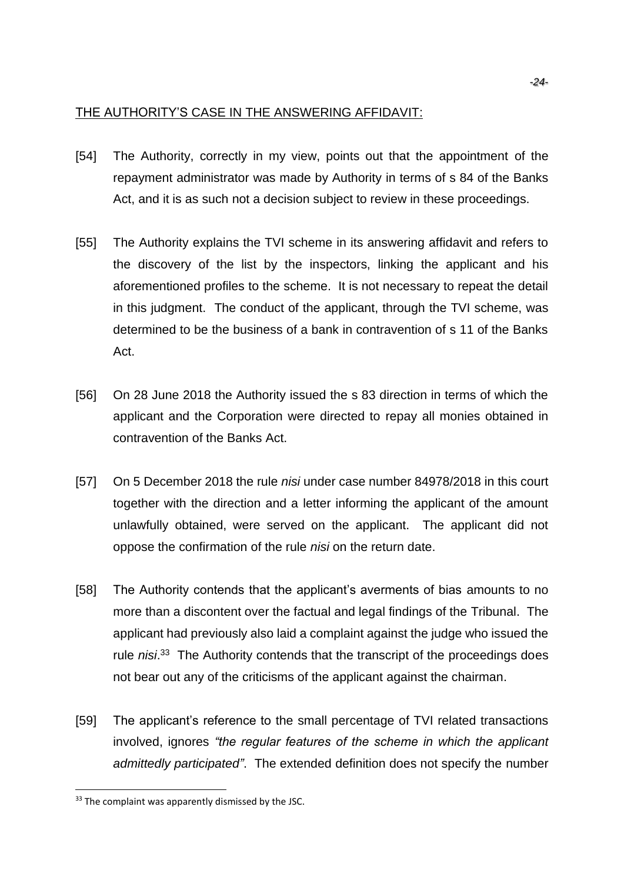### THE AUTHORITY'S CASE IN THE ANSWERING AFFIDAVIT:

- [54] The Authority, correctly in my view, points out that the appointment of the repayment administrator was made by Authority in terms of s 84 of the Banks Act, and it is as such not a decision subject to review in these proceedings.
- [55] The Authority explains the TVI scheme in its answering affidavit and refers to the discovery of the list by the inspectors, linking the applicant and his aforementioned profiles to the scheme. It is not necessary to repeat the detail in this judgment. The conduct of the applicant, through the TVI scheme, was determined to be the business of a bank in contravention of s 11 of the Banks Act.
- [56] On 28 June 2018 the Authority issued the s 83 direction in terms of which the applicant and the Corporation were directed to repay all monies obtained in contravention of the Banks Act.
- [57] On 5 December 2018 the rule *nisi* under case number 84978/2018 in this court together with the direction and a letter informing the applicant of the amount unlawfully obtained, were served on the applicant. The applicant did not oppose the confirmation of the rule *nisi* on the return date.
- [58] The Authority contends that the applicant's averments of bias amounts to no more than a discontent over the factual and legal findings of the Tribunal. The applicant had previously also laid a complaint against the judge who issued the rule nisi.<sup>33</sup> The Authority contends that the transcript of the proceedings does not bear out any of the criticisms of the applicant against the chairman.
- [59] The applicant's reference to the small percentage of TVI related transactions involved, ignores *"the regular features of the scheme in which the applicant admittedly participated"*. The extended definition does not specify the number

<sup>&</sup>lt;sup>33</sup> The complaint was apparently dismissed by the JSC.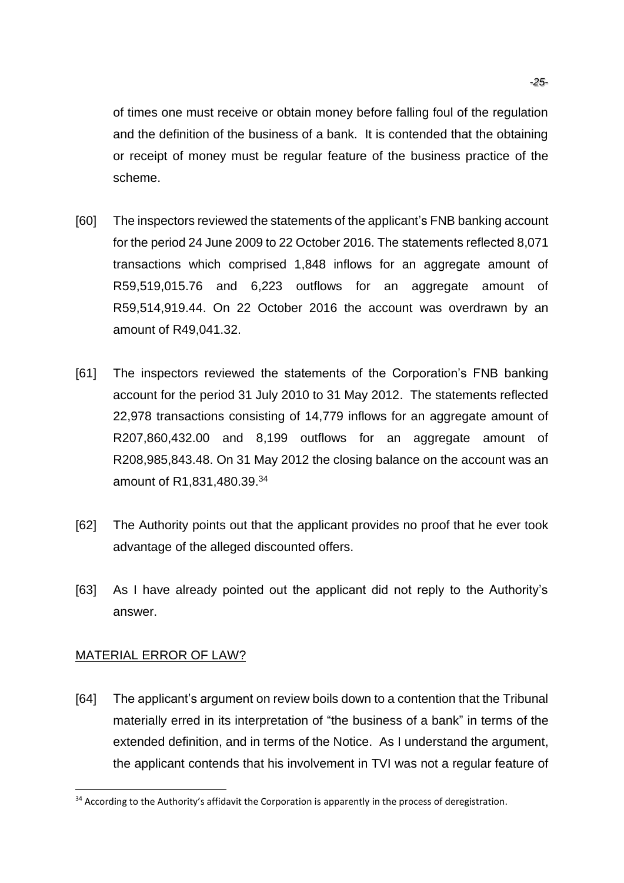of times one must receive or obtain money before falling foul of the regulation and the definition of the business of a bank. It is contended that the obtaining or receipt of money must be regular feature of the business practice of the scheme.

- [60] The inspectors reviewed the statements of the applicant's FNB banking account for the period 24 June 2009 to 22 October 2016. The statements reflected 8,071 transactions which comprised 1,848 inflows for an aggregate amount of R59,519,015.76 and 6,223 outflows for an aggregate amount of R59,514,919.44. On 22 October 2016 the account was overdrawn by an amount of R49,041.32.
- [61] The inspectors reviewed the statements of the Corporation's FNB banking account for the period 31 July 2010 to 31 May 2012. The statements reflected 22,978 transactions consisting of 14,779 inflows for an aggregate amount of R207,860,432.00 and 8,199 outflows for an aggregate amount of R208,985,843.48. On 31 May 2012 the closing balance on the account was an amount of R1,831,480.39.<sup>34</sup>
- [62] The Authority points out that the applicant provides no proof that he ever took advantage of the alleged discounted offers.
- [63] As I have already pointed out the applicant did not reply to the Authority's answer.

### MATERIAL ERROR OF LAW?

[64] The applicant's argument on review boils down to a contention that the Tribunal materially erred in its interpretation of "the business of a bank" in terms of the extended definition, and in terms of the Notice. As I understand the argument, the applicant contends that his involvement in TVI was not a regular feature of

<sup>&</sup>lt;sup>34</sup> According to the Authority's affidavit the Corporation is apparently in the process of deregistration.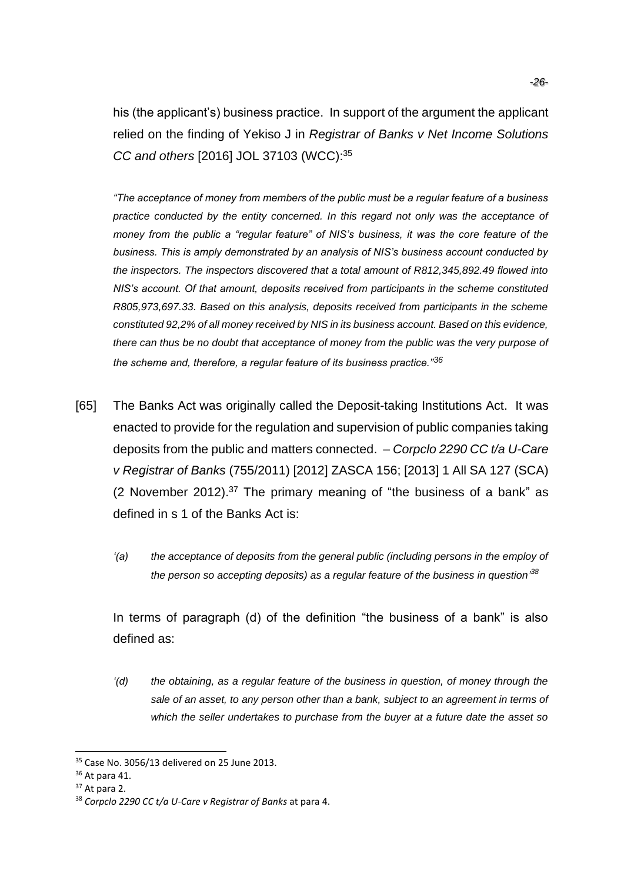his (the applicant's) business practice. In support of the argument the applicant relied on the finding of Yekiso J in *Registrar of Banks v Net Income Solutions CC and others* [2016] JOL 37103 (WCC): 35

*"The acceptance of money from members of the public must be a regular feature of a business practice conducted by the entity concerned. In this regard not only was the acceptance of money from the public a "regular feature" of NIS's business, it was the core feature of the business. This is amply demonstrated by an analysis of NIS's business account conducted by the inspectors. The inspectors discovered that a total amount of R812,345,892.49 flowed into NIS's account. Of that amount, deposits received from participants in the scheme constituted R805,973,697.33. Based on this analysis, deposits received from participants in the scheme constituted 92,2% of all money received by NIS in its business account. Based on this evidence, there can thus be no doubt that acceptance of money from the public was the very purpose of the scheme and, therefore, a regular feature of its business practice."<sup>36</sup>*

- [65] The Banks Act was originally called the Deposit-taking Institutions Act. It was enacted to provide for the regulation and supervision of public companies taking deposits from the public and matters connected. – *Corpclo 2290 CC t/a U-Care v Registrar of Banks* (755/2011) [2012] ZASCA 156; [2013] 1 All SA 127 (SCA) (2 November 2012).<sup>37</sup> The primary meaning of "the business of a bank" as defined in s 1 of the Banks Act is:
	- *'(a) the acceptance of deposits from the general public (including persons in the employ of the person so accepting deposits) as a regular feature of the business in question' 38*

In terms of paragraph (d) of the definition "the business of a bank" is also defined as:

*'(d) the obtaining, as a regular feature of the business in question, of money through the sale of an asset, to any person other than a bank, subject to an agreement in terms of which the seller undertakes to purchase from the buyer at a future date the asset so* 

 $35$  Case No. 3056/13 delivered on 25 June 2013.

<sup>36</sup> At para 41.

 $37$  At para 2.

<sup>38</sup> *Corpclo 2290 CC t/a U-Care v Registrar of Banks* at para 4.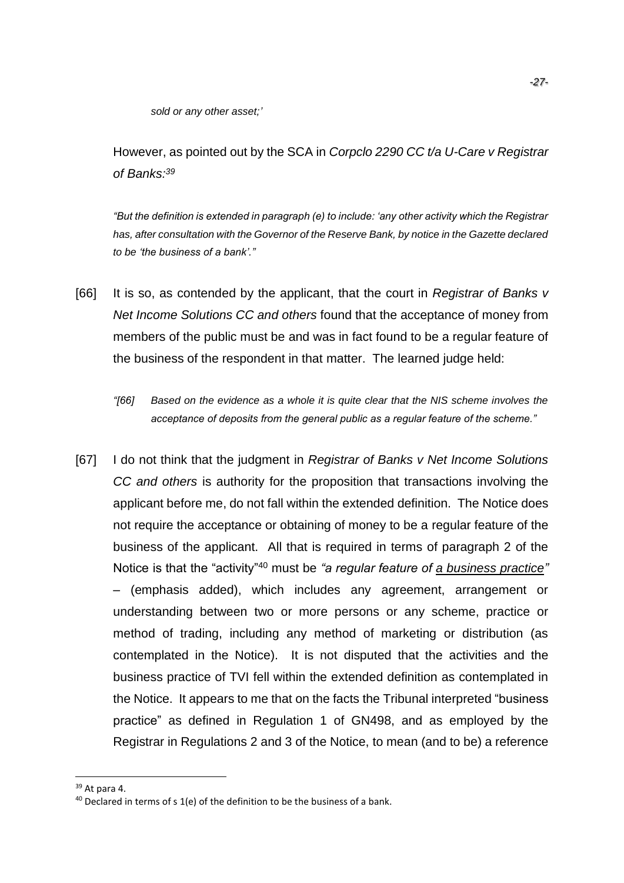*sold or any other asset;'*

However, as pointed out by the SCA in *Corpclo 2290 CC t/a U-Care v Registrar of Banks: 39*

*"But the definition is extended in paragraph (e) to include: 'any other activity which the Registrar has, after consultation with the Governor of the Reserve Bank, by notice in the Gazette declared to be 'the business of a bank'."*

- [66] It is so, as contended by the applicant, that the court in *Registrar of Banks v Net Income Solutions CC and others* found that the acceptance of money from members of the public must be and was in fact found to be a regular feature of the business of the respondent in that matter. The learned judge held:
	- *"[66] Based on the evidence as a whole it is quite clear that the NIS scheme involves the acceptance of deposits from the general public as a regular feature of the scheme."*
- [67] I do not think that the judgment in *Registrar of Banks v Net Income Solutions CC and others* is authority for the proposition that transactions involving the applicant before me, do not fall within the extended definition. The Notice does not require the acceptance or obtaining of money to be a regular feature of the business of the applicant. All that is required in terms of paragraph 2 of the Notice is that the "activity"<sup>40</sup> must be *"a regular feature of a business practice"* – (emphasis added), which includes any agreement, arrangement or understanding between two or more persons or any scheme, practice or method of trading, including any method of marketing or distribution (as contemplated in the Notice). It is not disputed that the activities and the business practice of TVI fell within the extended definition as contemplated in the Notice. It appears to me that on the facts the Tribunal interpreted "business practice" as defined in Regulation 1 of GN498, and as employed by the Registrar in Regulations 2 and 3 of the Notice, to mean (and to be) a reference

<sup>39</sup> At para 4.

 $40$  Declared in terms of s 1(e) of the definition to be the business of a bank.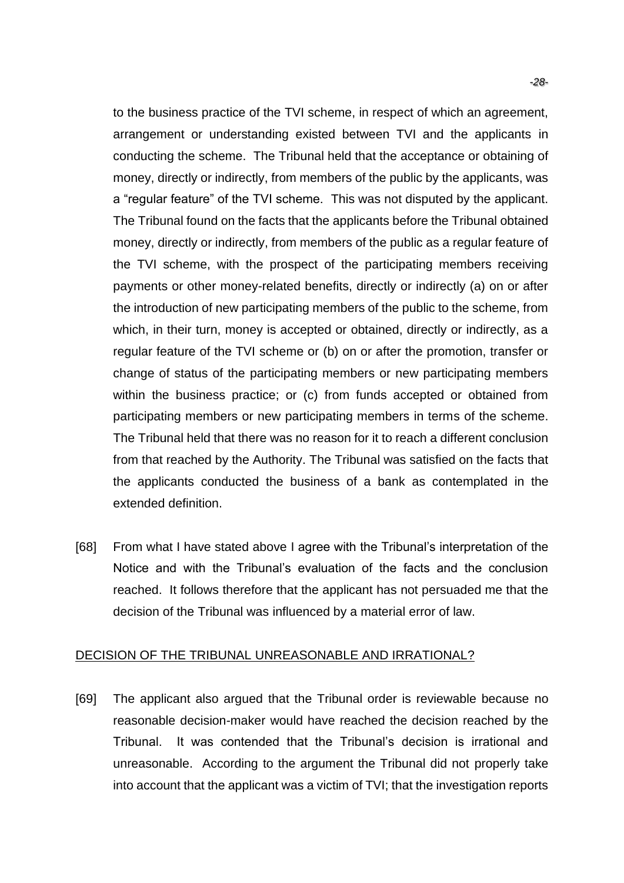to the business practice of the TVI scheme, in respect of which an agreement, arrangement or understanding existed between TVI and the applicants in conducting the scheme. The Tribunal held that the acceptance or obtaining of money, directly or indirectly, from members of the public by the applicants, was a "regular feature" of the TVI scheme. This was not disputed by the applicant. The Tribunal found on the facts that the applicants before the Tribunal obtained money, directly or indirectly, from members of the public as a regular feature of the TVI scheme, with the prospect of the participating members receiving payments or other money-related benefits, directly or indirectly (a) on or after the introduction of new participating members of the public to the scheme, from which, in their turn, money is accepted or obtained, directly or indirectly, as a regular feature of the TVI scheme or (b) on or after the promotion, transfer or change of status of the participating members or new participating members within the business practice; or (c) from funds accepted or obtained from participating members or new participating members in terms of the scheme. The Tribunal held that there was no reason for it to reach a different conclusion from that reached by the Authority. The Tribunal was satisfied on the facts that the applicants conducted the business of a bank as contemplated in the extended definition.

[68] From what I have stated above I agree with the Tribunal's interpretation of the Notice and with the Tribunal's evaluation of the facts and the conclusion reached. It follows therefore that the applicant has not persuaded me that the decision of the Tribunal was influenced by a material error of law.

### DECISION OF THE TRIBUNAL UNREASONABLE AND IRRATIONAL?

[69] The applicant also argued that the Tribunal order is reviewable because no reasonable decision-maker would have reached the decision reached by the Tribunal. It was contended that the Tribunal's decision is irrational and unreasonable. According to the argument the Tribunal did not properly take into account that the applicant was a victim of TVI; that the investigation reports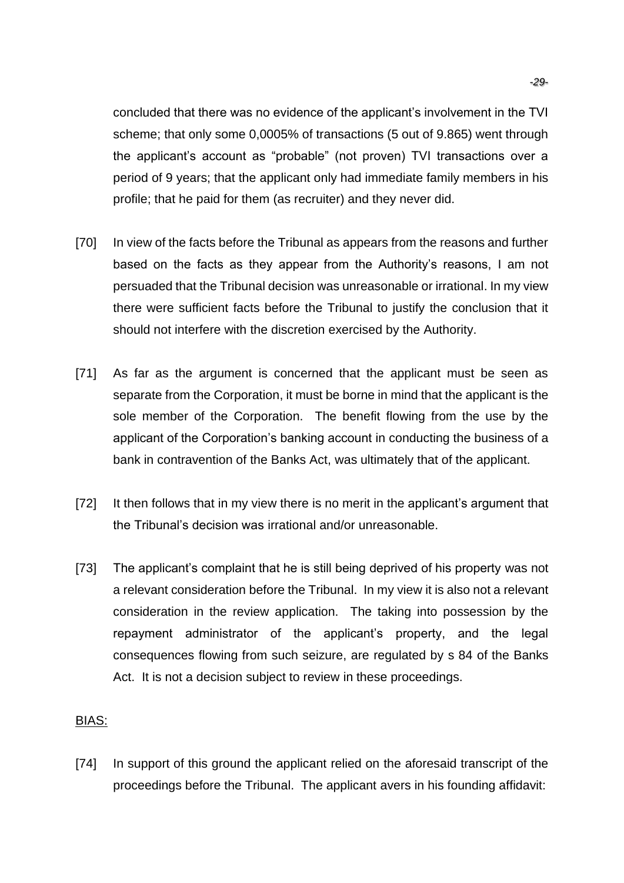concluded that there was no evidence of the applicant's involvement in the TVI scheme; that only some 0,0005% of transactions (5 out of 9.865) went through the applicant's account as "probable" (not proven) TVI transactions over a period of 9 years; that the applicant only had immediate family members in his profile; that he paid for them (as recruiter) and they never did.

- [70] In view of the facts before the Tribunal as appears from the reasons and further based on the facts as they appear from the Authority's reasons, I am not persuaded that the Tribunal decision was unreasonable or irrational. In my view there were sufficient facts before the Tribunal to justify the conclusion that it should not interfere with the discretion exercised by the Authority.
- [71] As far as the argument is concerned that the applicant must be seen as separate from the Corporation, it must be borne in mind that the applicant is the sole member of the Corporation. The benefit flowing from the use by the applicant of the Corporation's banking account in conducting the business of a bank in contravention of the Banks Act, was ultimately that of the applicant.
- [72] It then follows that in my view there is no merit in the applicant's argument that the Tribunal's decision was irrational and/or unreasonable.
- [73] The applicant's complaint that he is still being deprived of his property was not a relevant consideration before the Tribunal. In my view it is also not a relevant consideration in the review application. The taking into possession by the repayment administrator of the applicant's property, and the legal consequences flowing from such seizure, are regulated by s 84 of the Banks Act. It is not a decision subject to review in these proceedings.

### BIAS:

[74] In support of this ground the applicant relied on the aforesaid transcript of the proceedings before the Tribunal. The applicant avers in his founding affidavit: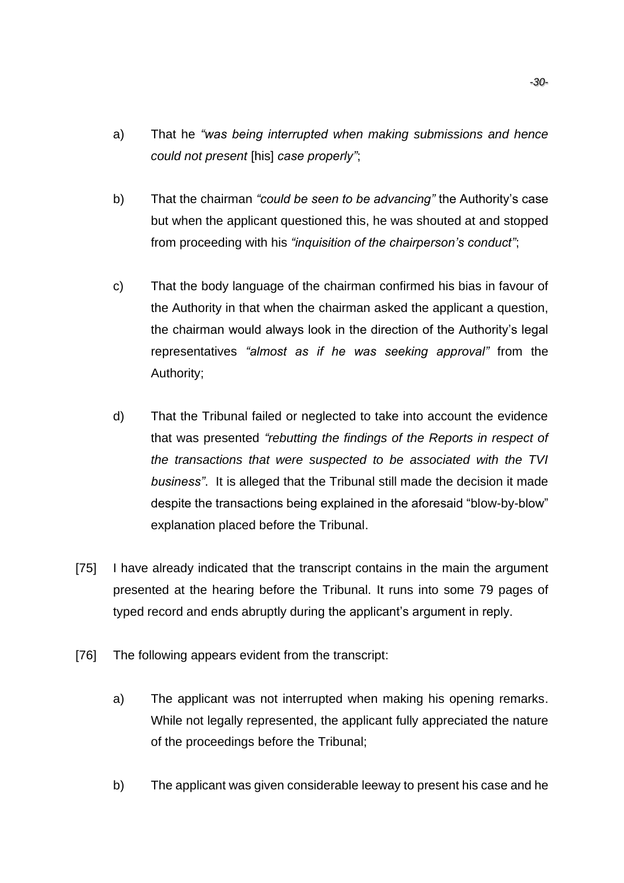- a) That he *"was being interrupted when making submissions and hence could not present* [his] *case properly"*;
- b) That the chairman *"could be seen to be advancing"* the Authority's case but when the applicant questioned this, he was shouted at and stopped from proceeding with his *"inquisition of the chairperson's conduct"*;
- c) That the body language of the chairman confirmed his bias in favour of the Authority in that when the chairman asked the applicant a question, the chairman would always look in the direction of the Authority's legal representatives *"almost as if he was seeking approval"* from the Authority;
- d) That the Tribunal failed or neglected to take into account the evidence that was presented *"rebutting the findings of the Reports in respect of the transactions that were suspected to be associated with the TVI business"*. It is alleged that the Tribunal still made the decision it made despite the transactions being explained in the aforesaid "blow-by-blow" explanation placed before the Tribunal.
- [75] I have already indicated that the transcript contains in the main the argument presented at the hearing before the Tribunal. It runs into some 79 pages of typed record and ends abruptly during the applicant's argument in reply.
- [76] The following appears evident from the transcript:
	- a) The applicant was not interrupted when making his opening remarks. While not legally represented, the applicant fully appreciated the nature of the proceedings before the Tribunal;
	- b) The applicant was given considerable leeway to present his case and he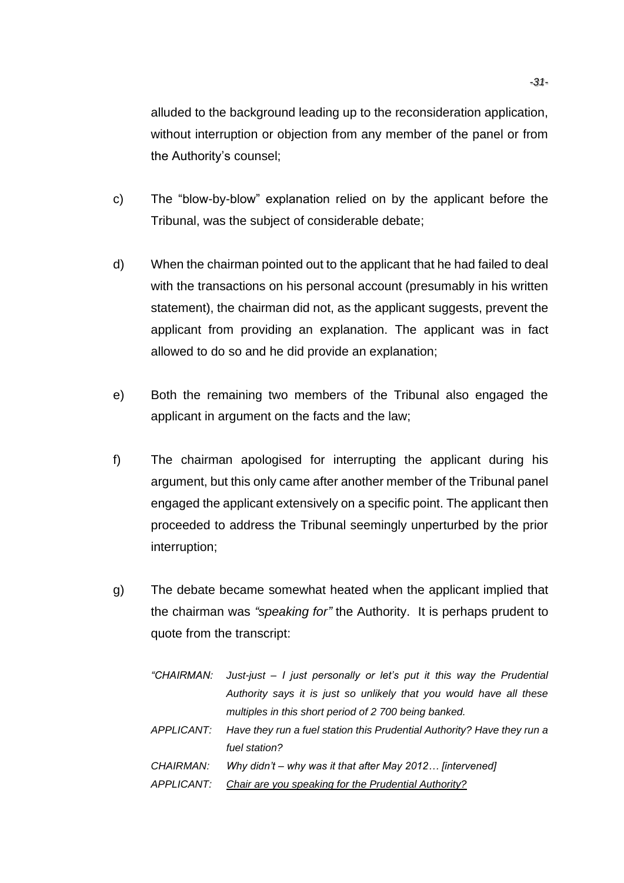alluded to the background leading up to the reconsideration application, without interruption or objection from any member of the panel or from the Authority's counsel;

- c) The "blow-by-blow" explanation relied on by the applicant before the Tribunal, was the subject of considerable debate;
- d) When the chairman pointed out to the applicant that he had failed to deal with the transactions on his personal account (presumably in his written statement), the chairman did not, as the applicant suggests, prevent the applicant from providing an explanation. The applicant was in fact allowed to do so and he did provide an explanation;
- e) Both the remaining two members of the Tribunal also engaged the applicant in argument on the facts and the law;
- f) The chairman apologised for interrupting the applicant during his argument, but this only came after another member of the Tribunal panel engaged the applicant extensively on a specific point. The applicant then proceeded to address the Tribunal seemingly unperturbed by the prior interruption;
- g) The debate became somewhat heated when the applicant implied that the chairman was *"speaking for"* the Authority. It is perhaps prudent to quote from the transcript:

|            | "CHAIRMAN: Just-just - I just personally or let's put it this way the Prudential   |
|------------|------------------------------------------------------------------------------------|
|            | Authority says it is just so unlikely that you would have all these                |
|            | multiples in this short period of 2 700 being banked.                              |
|            | APPLICANT: Have they run a fuel station this Prudential Authority? Have they run a |
|            | fuel station?                                                                      |
| CHAIRMAN:  | Why didn't – why was it that after May 2012 [intervened]                           |
| APPLICANT: | Chair are you speaking for the Prudential Authority?                               |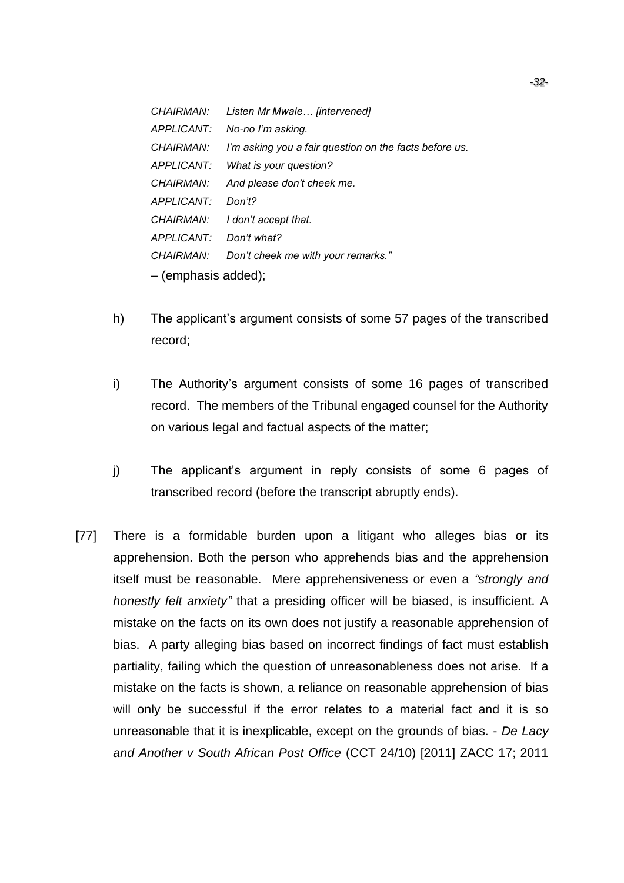*CHAIRMAN: Listen Mr Mwale… [intervened] APPLICANT: No-no I'm asking. CHAIRMAN: I'm asking you a fair question on the facts before us. APPLICANT: What is your question? CHAIRMAN: And please don't cheek me. APPLICANT: Don't? CHAIRMAN: I don't accept that. APPLICANT: Don't what? CHAIRMAN: Don't cheek me with your remarks." –* (emphasis added);

- h) The applicant's argument consists of some 57 pages of the transcribed record;
- i) The Authority's argument consists of some 16 pages of transcribed record. The members of the Tribunal engaged counsel for the Authority on various legal and factual aspects of the matter;
- j) The applicant's argument in reply consists of some 6 pages of transcribed record (before the transcript abruptly ends).
- [77] There is a formidable burden upon a litigant who alleges bias or its apprehension. Both the person who apprehends bias and the apprehension itself must be reasonable. Mere apprehensiveness or even a *"strongly and honestly felt anxiety"* that a presiding officer will be biased, is insufficient. A mistake on the facts on its own does not justify a reasonable apprehension of bias. A party alleging bias based on incorrect findings of fact must establish partiality, failing which the question of unreasonableness does not arise. If a mistake on the facts is shown, a reliance on reasonable apprehension of bias will only be successful if the error relates to a material fact and it is so unreasonable that it is inexplicable, except on the grounds of bias. - *De Lacy and Another v South African Post Office* (CCT 24/10) [2011] ZACC 17; 2011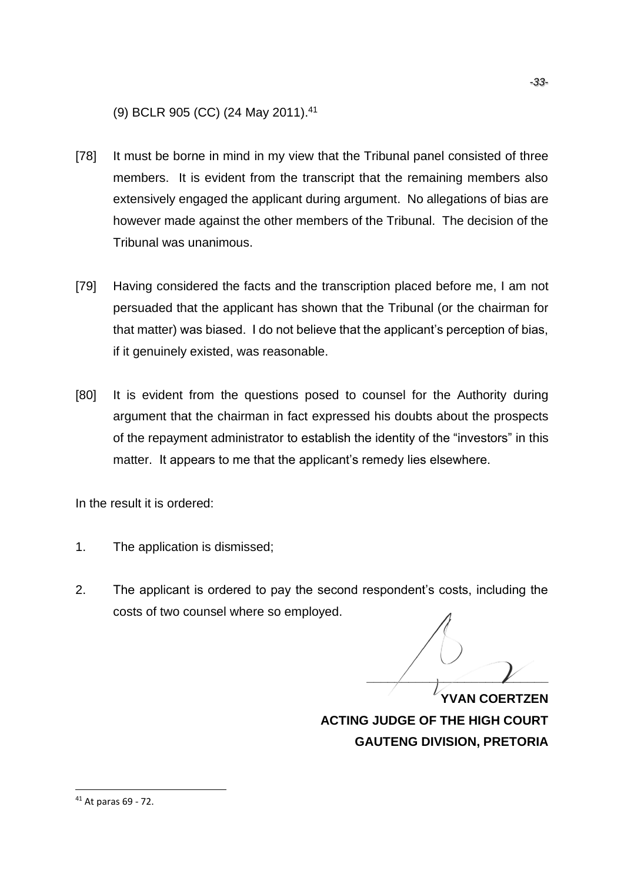(9) BCLR 905 (CC) (24 May 2011). 41

- [78] It must be borne in mind in my view that the Tribunal panel consisted of three members. It is evident from the transcript that the remaining members also extensively engaged the applicant during argument. No allegations of bias are however made against the other members of the Tribunal. The decision of the Tribunal was unanimous.
- [79] Having considered the facts and the transcription placed before me, I am not persuaded that the applicant has shown that the Tribunal (or the chairman for that matter) was biased. I do not believe that the applicant's perception of bias, if it genuinely existed, was reasonable.
- [80] It is evident from the questions posed to counsel for the Authority during argument that the chairman in fact expressed his doubts about the prospects of the repayment administrator to establish the identity of the "investors" in this matter. It appears to me that the applicant's remedy lies elsewhere.

In the result it is ordered:

- 1. The application is dismissed;
- 2. The applicant is ordered to pay the second respondent's costs, including the costs of two counsel where so employed.

**\_\_\_\_\_\_\_\_\_\_\_\_\_\_\_\_\_\_\_\_\_\_\_\_\_\_ YVAN COERTZEN**

**ACTING JUDGE OF THE HIGH COURT GAUTENG DIVISION, PRETORIA**

<sup>41</sup> At paras 69 - 72.